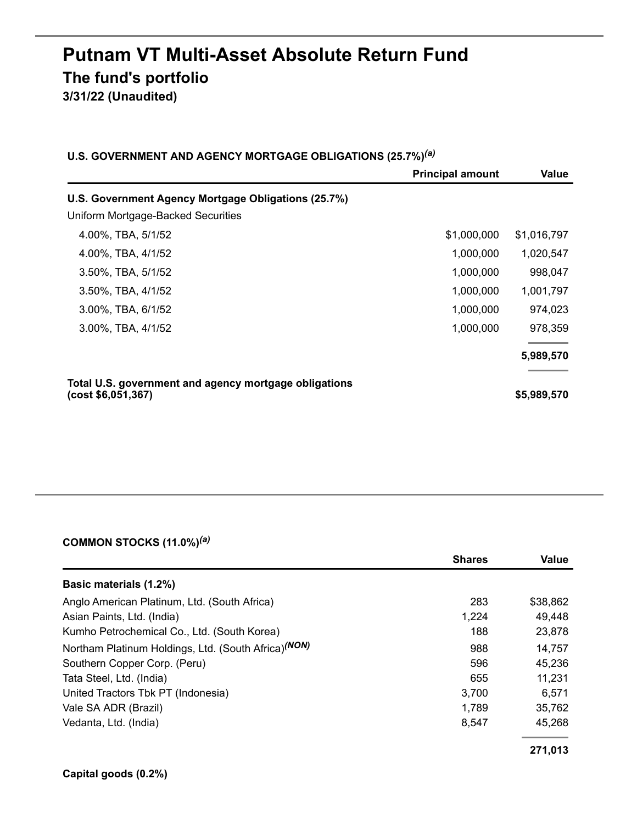# **Putnam VT Multi-Asset Absolute Return Fund The fund's portfolio 3/31/22 (Unaudited)**

| U.S. GOVERNMENT AND AGENCY MORTGAGE OBLIGATIONS (25.7%) <sup>(a)</sup> |  |  |  |  |  |  |
|------------------------------------------------------------------------|--|--|--|--|--|--|
|------------------------------------------------------------------------|--|--|--|--|--|--|

|                                                                             | <b>Principal amount</b> | Value       |
|-----------------------------------------------------------------------------|-------------------------|-------------|
| U.S. Government Agency Mortgage Obligations (25.7%)                         |                         |             |
| Uniform Mortgage-Backed Securities                                          |                         |             |
| 4.00%, TBA, 5/1/52                                                          | \$1,000,000             | \$1,016,797 |
| 4.00%, TBA, 4/1/52                                                          | 1,000,000               | 1,020,547   |
| 3.50%, TBA, 5/1/52                                                          | 1,000,000               | 998,047     |
| 3.50%, TBA, 4/1/52                                                          | 1,000,000               | 1,001,797   |
| 3.00%, TBA, 6/1/52                                                          | 1,000,000               | 974,023     |
| 3.00%, TBA, 4/1/52                                                          | 1,000,000               | 978,359     |
|                                                                             |                         | 5,989,570   |
| Total U.S. government and agency mortgage obligations<br>(cost \$6,051,367) |                         | \$5,989,570 |

#### **COMMON STOCKS (11.0%)** *(a)*

|                                                                 | <b>Shares</b> | Value    |
|-----------------------------------------------------------------|---------------|----------|
| <b>Basic materials (1.2%)</b>                                   |               |          |
| Anglo American Platinum, Ltd. (South Africa)                    | 283           | \$38,862 |
| Asian Paints, Ltd. (India)                                      | 1,224         | 49,448   |
| Kumho Petrochemical Co., Ltd. (South Korea)                     | 188           | 23,878   |
| Northam Platinum Holdings, Ltd. (South Africa) <sup>(NON)</sup> | 988           | 14,757   |
| Southern Copper Corp. (Peru)                                    | 596           | 45,236   |
| Tata Steel, Ltd. (India)                                        | 655           | 11,231   |
| United Tractors Tbk PT (Indonesia)                              | 3,700         | 6,571    |
| Vale SA ADR (Brazil)                                            | 1,789         | 35,762   |
| Vedanta, Ltd. (India)                                           | 8.547         | 45,268   |
|                                                                 |               | 271,013  |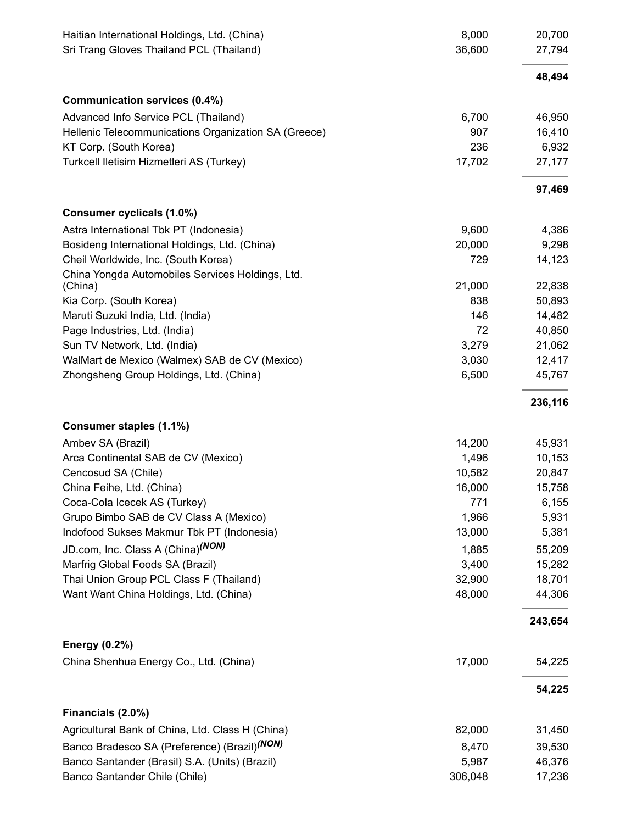| Haitian International Holdings, Ltd. (China)<br>Sri Trang Gloves Thailand PCL (Thailand) | 8,000<br>36,600 | 20,700<br>27,794 |
|------------------------------------------------------------------------------------------|-----------------|------------------|
|                                                                                          |                 | 48,494           |
| Communication services (0.4%)                                                            |                 |                  |
| Advanced Info Service PCL (Thailand)                                                     | 6,700           | 46,950           |
| Hellenic Telecommunications Organization SA (Greece)                                     | 907             | 16,410           |
| KT Corp. (South Korea)                                                                   | 236             | 6,932            |
| Turkcell Iletisim Hizmetleri AS (Turkey)                                                 | 17,702          | 27,177           |
|                                                                                          |                 | 97,469           |
| Consumer cyclicals (1.0%)                                                                |                 |                  |
| Astra International Tbk PT (Indonesia)                                                   | 9,600           | 4,386            |
| Bosideng International Holdings, Ltd. (China)                                            | 20,000          | 9,298            |
| Cheil Worldwide, Inc. (South Korea)                                                      | 729             | 14,123           |
| China Yongda Automobiles Services Holdings, Ltd.                                         |                 |                  |
| (China)                                                                                  | 21,000          | 22,838           |
| Kia Corp. (South Korea)                                                                  | 838             | 50,893           |
| Maruti Suzuki India, Ltd. (India)                                                        | 146             | 14,482           |
| Page Industries, Ltd. (India)                                                            | 72              | 40,850           |
| Sun TV Network, Ltd. (India)                                                             | 3,279           | 21,062           |
| WalMart de Mexico (Walmex) SAB de CV (Mexico)                                            | 3,030           | 12,417           |
| Zhongsheng Group Holdings, Ltd. (China)                                                  | 6,500           | 45,767           |
|                                                                                          |                 | 236,116          |
| Consumer staples (1.1%)                                                                  |                 |                  |
| Ambev SA (Brazil)                                                                        | 14,200          | 45,931           |
| Arca Continental SAB de CV (Mexico)                                                      | 1,496           | 10,153           |
| Cencosud SA (Chile)                                                                      | 10,582          | 20,847           |
| China Feihe, Ltd. (China)                                                                | 16,000          | 15,758           |
| Coca-Cola Icecek AS (Turkey)                                                             | 771             | 6,155            |
| Grupo Bimbo SAB de CV Class A (Mexico)                                                   | 1,966           | 5,931            |
| Indofood Sukses Makmur Tbk PT (Indonesia)                                                | 13,000          | 5,381            |
| JD.com, Inc. Class A (China) <sup>(NON)</sup>                                            | 1,885           | 55,209           |
| Marfrig Global Foods SA (Brazil)                                                         | 3,400           | 15,282           |
| Thai Union Group PCL Class F (Thailand)                                                  | 32,900          | 18,701           |
| Want Want China Holdings, Ltd. (China)                                                   | 48,000          | 44,306           |
|                                                                                          |                 | 243,654          |
| <b>Energy (0.2%)</b>                                                                     |                 |                  |
| China Shenhua Energy Co., Ltd. (China)                                                   | 17,000          | 54,225           |
|                                                                                          |                 | 54,225           |
| Financials (2.0%)                                                                        |                 |                  |
| Agricultural Bank of China, Ltd. Class H (China)                                         | 82,000          | 31,450           |
| Banco Bradesco SA (Preference) (Brazil) <sup>(NON)</sup>                                 | 8,470           | 39,530           |
| Banco Santander (Brasil) S.A. (Units) (Brazil)                                           | 5,987           | 46,376           |
| Banco Santander Chile (Chile)                                                            | 306,048         | 17,236           |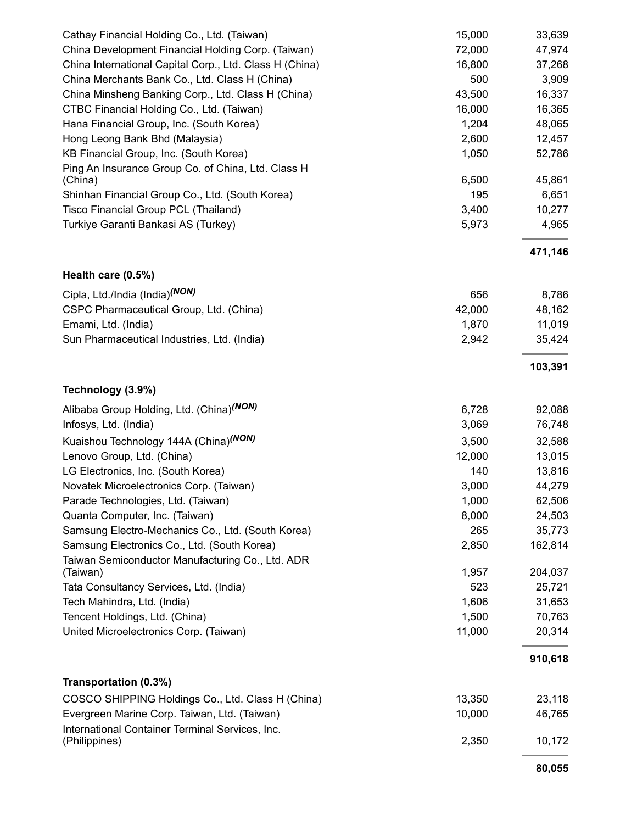| Cathay Financial Holding Co., Ltd. (Taiwan)                                                     | 15,000         | 33,639           |
|-------------------------------------------------------------------------------------------------|----------------|------------------|
| China Development Financial Holding Corp. (Taiwan)                                              | 72,000         | 47,974           |
| China International Capital Corp., Ltd. Class H (China)                                         | 16,800         | 37,268           |
| China Merchants Bank Co., Ltd. Class H (China)                                                  | 500            | 3,909            |
| China Minsheng Banking Corp., Ltd. Class H (China)                                              | 43,500         | 16,337           |
| CTBC Financial Holding Co., Ltd. (Taiwan)                                                       | 16,000         | 16,365           |
| Hana Financial Group, Inc. (South Korea)                                                        | 1,204          | 48,065           |
| Hong Leong Bank Bhd (Malaysia)                                                                  | 2,600          | 12,457           |
| KB Financial Group, Inc. (South Korea)                                                          | 1,050          | 52,786           |
| Ping An Insurance Group Co. of China, Ltd. Class H                                              |                |                  |
| (China)                                                                                         | 6,500          | 45,861           |
| Shinhan Financial Group Co., Ltd. (South Korea)                                                 | 195            | 6,651            |
| Tisco Financial Group PCL (Thailand)                                                            | 3,400          | 10,277           |
| Turkiye Garanti Bankasi AS (Turkey)                                                             | 5,973          | 4,965            |
|                                                                                                 |                | 471,146          |
| Health care (0.5%)                                                                              |                |                  |
| Cipla, Ltd./India (India) <sup>(NON)</sup>                                                      | 656            | 8,786            |
| CSPC Pharmaceutical Group, Ltd. (China)                                                         | 42,000         | 48,162           |
| Emami, Ltd. (India)                                                                             | 1,870          | 11,019           |
| Sun Pharmaceutical Industries, Ltd. (India)                                                     | 2,942          | 35,424           |
|                                                                                                 |                | 103,391          |
| Technology (3.9%)                                                                               |                |                  |
| Alibaba Group Holding, Ltd. (China) <sup>(NON)</sup>                                            | 6,728          | 92,088           |
| Infosys, Ltd. (India)                                                                           | 3,069          | 76,748           |
| Kuaishou Technology 144A (China) <sup>(NON)</sup>                                               | 3,500          | 32,588           |
| Lenovo Group, Ltd. (China)                                                                      | 12,000         | 13,015           |
| LG Electronics, Inc. (South Korea)                                                              | 140            | 13,816           |
| Novatek Microelectronics Corp. (Taiwan)                                                         | 3,000          | 44,279           |
| Parade Technologies, Ltd. (Taiwan)                                                              | 1,000          | 62,506           |
| Quanta Computer, Inc. (Taiwan)                                                                  | 8,000          | 24,503           |
| Samsung Electro-Mechanics Co., Ltd. (South Korea)                                               | 265            | 35,773           |
| Samsung Electronics Co., Ltd. (South Korea)                                                     | 2,850          | 162,814          |
| Taiwan Semiconductor Manufacturing Co., Ltd. ADR                                                |                |                  |
| (Taiwan)                                                                                        | 1,957          | 204,037          |
| Tata Consultancy Services, Ltd. (India)                                                         | 523            | 25,721           |
| Tech Mahindra, Ltd. (India)                                                                     | 1,606<br>1,500 | 31,653           |
| Tencent Holdings, Ltd. (China)<br>United Microelectronics Corp. (Taiwan)                        | 11,000         | 70,763<br>20,314 |
|                                                                                                 |                |                  |
|                                                                                                 |                | 910,618          |
| Transportation (0.3%)                                                                           |                |                  |
| COSCO SHIPPING Holdings Co., Ltd. Class H (China)                                               | 13,350         | 23,118           |
| Evergreen Marine Corp. Taiwan, Ltd. (Taiwan)<br>International Container Terminal Services, Inc. | 10,000         | 46,765           |
| (Philippines)                                                                                   | 2,350          | 10,172           |
|                                                                                                 |                |                  |

**80,055**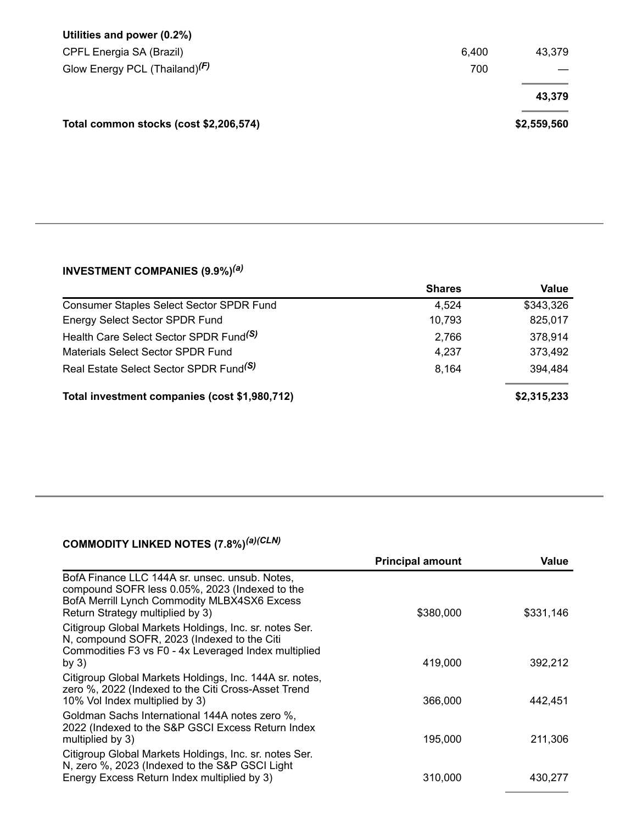| Utilities and power (0.2%)             |       |             |
|----------------------------------------|-------|-------------|
| CPFL Energia SA (Brazil)               | 6,400 | 43,379      |
| Glow Energy PCL (Thailand) $(F)$       | 700   |             |
|                                        |       | 43,379      |
| Total common stocks (cost \$2,206,574) |       | \$2,559,560 |

#### **INVESTMENT COMPANIES (9.9%)** *(a)*

|                                                    | <b>Shares</b> | <b>Value</b> |
|----------------------------------------------------|---------------|--------------|
| <b>Consumer Staples Select Sector SPDR Fund</b>    | 4,524         | \$343,326    |
| Energy Select Sector SPDR Fund                     | 10,793        | 825,017      |
| Health Care Select Sector SPDR Fund <sup>(S)</sup> | 2,766         | 378,914      |
| Materials Select Sector SPDR Fund                  | 4,237         | 373,492      |
| Real Estate Select Sector SPDR Fund <sup>(S)</sup> | 8,164         | 394,484      |
| Total investment companies (cost \$1,980,712)      |               | \$2,315,233  |

#### **COMMODITY LINKED NOTES (7.8%)** *(a)(CLN)*

|                                                                                                                                                                                      | <b>Principal amount</b> | Value     |
|--------------------------------------------------------------------------------------------------------------------------------------------------------------------------------------|-------------------------|-----------|
| BofA Finance LLC 144A sr. unsec. unsub. Notes.<br>compound SOFR less 0.05%, 2023 (Indexed to the<br>BofA Merrill Lynch Commodity MLBX4SX6 Excess<br>Return Strategy multiplied by 3) | \$380,000               | \$331,146 |
| Citigroup Global Markets Holdings, Inc. sr. notes Ser.<br>N, compound SOFR, 2023 (Indexed to the Citi<br>Commodities F3 vs F0 - 4x Leveraged Index multiplied<br>by $3)$             | 419,000                 | 392,212   |
| Citigroup Global Markets Holdings, Inc. 144A sr. notes,<br>zero %, 2022 (Indexed to the Citi Cross-Asset Trend<br>10% Vol Index multiplied by 3)                                     | 366,000                 | 442.451   |
| Goldman Sachs International 144A notes zero %,<br>2022 (Indexed to the S&P GSCI Excess Return Index<br>multiplied by 3)                                                              | 195,000                 | 211,306   |
| Citigroup Global Markets Holdings, Inc. sr. notes Ser.<br>N, zero %, 2023 (Indexed to the S&P GSCI Light<br>Energy Excess Return Index multiplied by 3)                              | 310,000                 | 430,277   |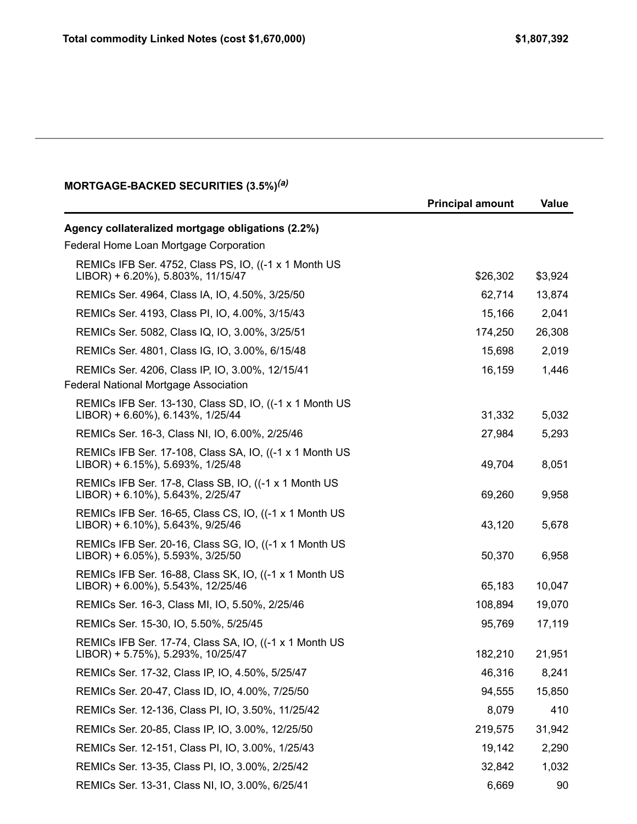#### **MORTGAGE-BACKED SECURITIES (3.5%)** *(a)*

|                                                                                              | <b>Principal amount</b> | Value   |
|----------------------------------------------------------------------------------------------|-------------------------|---------|
| Agency collateralized mortgage obligations (2.2%)                                            |                         |         |
| Federal Home Loan Mortgage Corporation                                                       |                         |         |
| REMICs IFB Ser. 4752, Class PS, IO, ((-1 x 1 Month US)<br>LIBOR) + 6.20%), 5.803%, 11/15/47  | \$26,302                | \$3,924 |
| REMICs Ser. 4964, Class IA, IO, 4.50%, 3/25/50                                               | 62,714                  | 13,874  |
| REMICs Ser. 4193, Class PI, IO, 4.00%, 3/15/43                                               | 15,166                  | 2,041   |
| REMICs Ser. 5082, Class IQ, IO, 3.00%, 3/25/51                                               | 174,250                 | 26,308  |
| REMICs Ser. 4801, Class IG, IO, 3.00%, 6/15/48                                               | 15,698                  | 2,019   |
| REMICs Ser. 4206, Class IP, IO, 3.00%, 12/15/41<br>Federal National Mortgage Association     | 16,159                  | 1,446   |
| REMICs IFB Ser. 13-130, Class SD, IO, ((-1 x 1 Month US<br>LIBOR) + 6.60%), 6.143%, 1/25/44  | 31,332                  | 5,032   |
| REMICs Ser. 16-3, Class NI, IO, 6.00%, 2/25/46                                               | 27,984                  | 5,293   |
| REMICs IFB Ser. 17-108, Class SA, IO, ((-1 x 1 Month US<br>LIBOR) + 6.15%), 5.693%, 1/25/48  | 49,704                  | 8,051   |
| REMICs IFB Ser. 17-8, Class SB, IO, ((-1 x 1 Month US)<br>LIBOR) + 6.10%), 5.643%, 2/25/47   | 69,260                  | 9,958   |
| REMICs IFB Ser. 16-65, Class CS, IO, ((-1 x 1 Month US<br>LIBOR) + 6.10%), 5.643%, 9/25/46   | 43,120                  | 5,678   |
| REMICs IFB Ser. 20-16, Class SG, IO, ((-1 x 1 Month US<br>LIBOR) + 6.05%), 5.593%, 3/25/50   | 50,370                  | 6,958   |
| REMICs IFB Ser. 16-88, Class SK, IO, ((-1 x 1 Month US<br>LIBOR) + 6.00%), 5.543%, 12/25/46  | 65,183                  | 10,047  |
| REMICs Ser. 16-3, Class MI, IO, 5.50%, 2/25/46                                               | 108,894                 | 19,070  |
| REMICs Ser. 15-30, IO, 5.50%, 5/25/45                                                        | 95,769                  | 17,119  |
| REMICs IFB Ser. 17-74, Class SA, IO, ((-1 x 1 Month US)<br>LIBOR) + 5.75%), 5.293%, 10/25/47 | 182,210                 | 21,951  |
| REMICs Ser. 17-32, Class IP, IO, 4.50%, 5/25/47                                              | 46,316                  | 8,241   |
| REMICs Ser. 20-47, Class ID, IO, 4.00%, 7/25/50                                              | 94,555                  | 15,850  |
| REMICs Ser. 12-136, Class PI, IO, 3.50%, 11/25/42                                            | 8,079                   | 410     |
| REMICs Ser. 20-85, Class IP, IO, 3.00%, 12/25/50                                             | 219,575                 | 31,942  |
| REMICs Ser. 12-151, Class PI, IO, 3.00%, 1/25/43                                             | 19,142                  | 2,290   |
| REMICs Ser. 13-35, Class PI, IO, 3.00%, 2/25/42                                              | 32,842                  | 1,032   |
| REMICs Ser. 13-31, Class NI, IO, 3.00%, 6/25/41                                              | 6,669                   | 90      |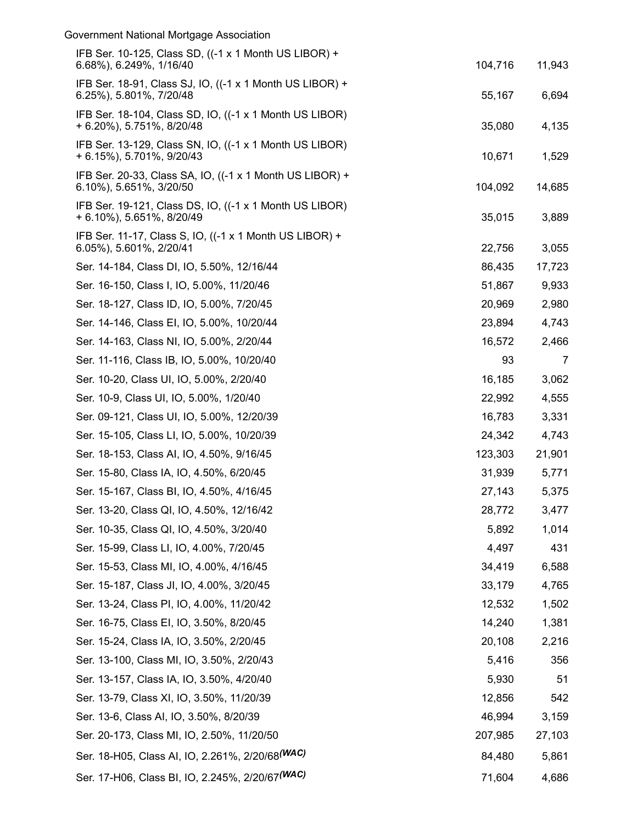| Government National Mortgage Association                                             |         |        |
|--------------------------------------------------------------------------------------|---------|--------|
| IFB Ser. 10-125, Class SD, ((-1 x 1 Month US LIBOR) +<br>6.68%), 6.249%, 1/16/40     | 104,716 | 11,943 |
| IFB Ser. 18-91, Class SJ, IO, ((-1 x 1 Month US LIBOR) +<br>6.25%), 5.801%, 7/20/48  | 55,167  | 6,694  |
| IFB Ser. 18-104, Class SD, IO, ((-1 x 1 Month US LIBOR)<br>+ 6.20%), 5.751%, 8/20/48 | 35,080  | 4,135  |
| IFB Ser. 13-129, Class SN, IO, ((-1 x 1 Month US LIBOR)<br>+ 6.15%), 5.701%, 9/20/43 | 10,671  | 1,529  |
| IFB Ser. 20-33, Class SA, IO, ((-1 x 1 Month US LIBOR) +<br>6.10%), 5.651%, 3/20/50  | 104,092 | 14,685 |
| IFB Ser. 19-121, Class DS, IO, ((-1 x 1 Month US LIBOR)<br>+ 6.10%), 5.651%, 8/20/49 | 35,015  | 3,889  |
| IFB Ser. 11-17, Class S, IO, ((-1 x 1 Month US LIBOR) +<br>6.05%), 5.601%, 2/20/41   | 22,756  | 3,055  |
| Ser. 14-184, Class DI, IO, 5.50%, 12/16/44                                           | 86,435  | 17,723 |
| Ser. 16-150, Class I, IO, 5.00%, 11/20/46                                            | 51,867  | 9,933  |
| Ser. 18-127, Class ID, IO, 5.00%, 7/20/45                                            | 20,969  | 2,980  |
| Ser. 14-146, Class EI, IO, 5.00%, 10/20/44                                           | 23,894  | 4,743  |
| Ser. 14-163, Class NI, IO, 5.00%, 2/20/44                                            | 16,572  | 2,466  |
| Ser. 11-116, Class IB, IO, 5.00%, 10/20/40                                           | 93      | 7      |
| Ser. 10-20, Class UI, IO, 5.00%, 2/20/40                                             | 16,185  | 3,062  |
| Ser. 10-9, Class UI, IO, 5.00%, 1/20/40                                              | 22,992  | 4,555  |
| Ser. 09-121, Class UI, IO, 5.00%, 12/20/39                                           | 16,783  | 3,331  |
| Ser. 15-105, Class LI, IO, 5.00%, 10/20/39                                           | 24,342  | 4,743  |
| Ser. 18-153, Class AI, IO, 4.50%, 9/16/45                                            | 123,303 | 21,901 |
| Ser. 15-80, Class IA, IO, 4.50%, 6/20/45                                             | 31,939  | 5,771  |
| Ser. 15-167, Class BI, IO, 4.50%, 4/16/45                                            | 27,143  | 5,375  |
| Ser. 13-20, Class QI, IO, 4.50%, 12/16/42                                            | 28,772  | 3,477  |
| Ser. 10-35, Class QI, IO, 4.50%, 3/20/40                                             | 5,892   | 1,014  |
| Ser. 15-99, Class LI, IO, 4.00%, 7/20/45                                             | 4,497   | 431    |
| Ser. 15-53, Class MI, IO, 4.00%, 4/16/45                                             | 34,419  | 6,588  |
| Ser. 15-187, Class JI, IO, 4.00%, 3/20/45                                            | 33,179  | 4,765  |
| Ser. 13-24, Class PI, IO, 4.00%, 11/20/42                                            | 12,532  | 1,502  |
| Ser. 16-75, Class EI, IO, 3.50%, 8/20/45                                             | 14,240  | 1,381  |
| Ser. 15-24, Class IA, IO, 3.50%, 2/20/45                                             | 20,108  | 2,216  |
| Ser. 13-100, Class MI, IO, 3.50%, 2/20/43                                            | 5,416   | 356    |
| Ser. 13-157, Class IA, IO, 3.50%, 4/20/40                                            | 5,930   | 51     |
| Ser. 13-79, Class XI, IO, 3.50%, 11/20/39                                            | 12,856  | 542    |
| Ser. 13-6, Class AI, IO, 3.50%, 8/20/39                                              | 46,994  | 3,159  |
| Ser. 20-173, Class MI, IO, 2.50%, 11/20/50                                           | 207,985 | 27,103 |
| Ser. 18-H05, Class AI, IO, 2.261%, 2/20/68(WAC)                                      | 84,480  | 5,861  |
| Ser. 17-H06, Class BI, IO, 2.245%, 2/20/67(WAC)                                      | 71,604  | 4,686  |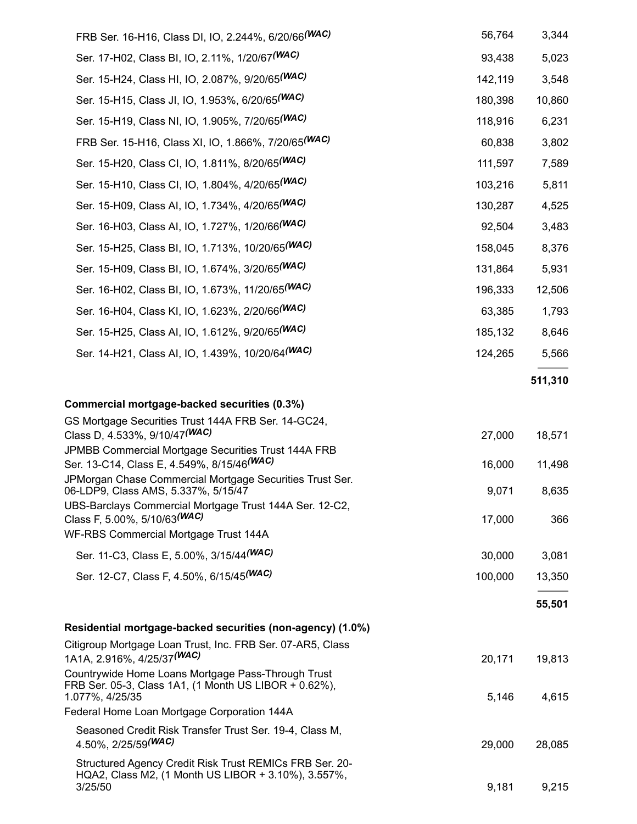| FRB Ser. 16-H16, Class DI, IO, 2.244%, 6/20/66 <sup>(WAC)</sup>                                                                | 56,764  | 3,344   |
|--------------------------------------------------------------------------------------------------------------------------------|---------|---------|
| Ser. 17-H02, Class BI, IO, 2.11%, 1/20/67(WAC)                                                                                 | 93,438  | 5,023   |
| Ser. 15-H24, Class HI, IO, 2.087%, 9/20/65(WAC)                                                                                | 142,119 | 3,548   |
| Ser. 15-H15, Class JI, IO, 1.953%, 6/20/65(WAC)                                                                                | 180,398 | 10,860  |
| Ser. 15-H19, Class NI, IO, 1.905%, 7/20/65 <sup>(WAC)</sup>                                                                    | 118,916 | 6,231   |
| FRB Ser. 15-H16, Class XI, IO, 1.866%, 7/20/65 <sup>(WAC)</sup>                                                                | 60,838  | 3,802   |
| Ser. 15-H20, Class CI, IO, 1.811%, 8/20/65(WAC)                                                                                | 111,597 | 7,589   |
| Ser. 15-H10, Class CI, IO, 1.804%, 4/20/65(WAC)                                                                                | 103,216 | 5,811   |
| Ser. 15-H09, Class AI, IO, 1.734%, 4/20/65 <sup>(WAC)</sup>                                                                    | 130,287 | 4,525   |
| Ser. 16-H03, Class AI, IO, 1.727%, 1/20/66(WAC)                                                                                | 92,504  | 3,483   |
| Ser. 15-H25, Class BI, IO, 1.713%, 10/20/65 <sup>(WAC)</sup>                                                                   | 158,045 | 8,376   |
| Ser. 15-H09, Class BI, IO, 1.674%, 3/20/65(WAC)                                                                                | 131,864 | 5,931   |
| Ser. 16-H02, Class BI, IO, 1.673%, 11/20/65 <sup>(WAC)</sup>                                                                   | 196,333 | 12,506  |
| Ser. 16-H04, Class KI, IO, 1.623%, 2/20/66(WAC)                                                                                | 63,385  | 1,793   |
| Ser. 15-H25, Class AI, IO, 1.612%, 9/20/65 <sup>(WAC)</sup>                                                                    | 185,132 | 8,646   |
| Ser. 14-H21, Class AI, IO, 1.439%, 10/20/64(WAC)                                                                               | 124,265 | 5,566   |
|                                                                                                                                |         | 511,310 |
| Commercial mortgage-backed securities (0.3%)                                                                                   |         |         |
| GS Mortgage Securities Trust 144A FRB Ser. 14-GC24,                                                                            |         |         |
| Class D, 4.533%, 9/10/47 (WAC)                                                                                                 | 27,000  | 18,571  |
| JPMBB Commercial Mortgage Securities Trust 144A FRB<br>Ser. 13-C14, Class E, 4.549%, 8/15/46 (WAC)                             | 16,000  | 11,498  |
| JPMorgan Chase Commercial Mortgage Securities Trust Ser.<br>06-LDP9, Class AMS, 5.337%, 5/15/47                                | 9,071   | 8,635   |
| UBS-Barclays Commercial Mortgage Trust 144A Ser. 12-C2,<br>Class F, 5.00%, 5/10/63 <sup>(WAC)</sup>                            | 17,000  | 366     |
| WF-RBS Commercial Mortgage Trust 144A                                                                                          |         |         |
| Ser. 11-C3, Class E, 5.00%, 3/15/44 (WAC)                                                                                      | 30,000  | 3,081   |
| Ser. 12-C7, Class F, 4.50%, 6/15/45(WAC)                                                                                       | 100,000 | 13,350  |
|                                                                                                                                |         | 55,501  |
| Residential mortgage-backed securities (non-agency) (1.0%)                                                                     |         |         |
| Citigroup Mortgage Loan Trust, Inc. FRB Ser. 07-AR5, Class<br>1A1A, 2.916%, 4/25/37(WAC)                                       | 20,171  | 19,813  |
| Countrywide Home Loans Mortgage Pass-Through Trust<br>FRB Ser. 05-3, Class 1A1, (1 Month US LIBOR + 0.62%),<br>1.077%, 4/25/35 | 5,146   | 4,615   |
| Federal Home Loan Mortgage Corporation 144A                                                                                    |         |         |
| Seasoned Credit Risk Transfer Trust Ser. 19-4, Class M,<br>4.50%, 2/25/59(WAC)                                                 | 29,000  | 28,085  |
| Structured Agency Credit Risk Trust REMICs FRB Ser. 20-<br>HQA2, Class M2, (1 Month US LIBOR + 3.10%), 3.557%,                 |         |         |
| 3/25/50                                                                                                                        | 9,181   | 9,215   |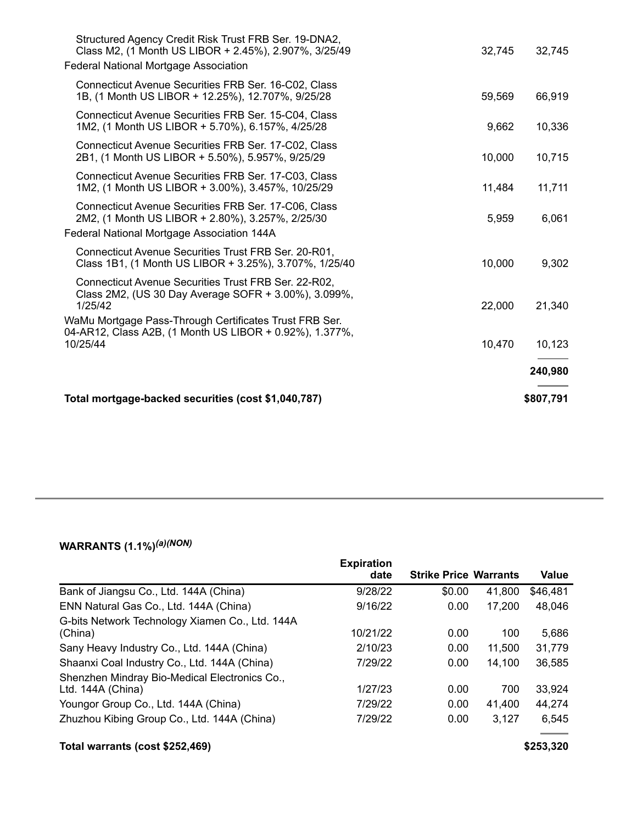| Total mortgage-backed securities (cost \$1,040,787)                                                                                                                      | \$807,791 |
|--------------------------------------------------------------------------------------------------------------------------------------------------------------------------|-----------|
|                                                                                                                                                                          | 240,980   |
| WaMu Mortgage Pass-Through Certificates Trust FRB Ser.<br>04-AR12, Class A2B, (1 Month US LIBOR + 0.92%), 1.377%,<br>10/25/44<br>10,470                                  | 10,123    |
| Connecticut Avenue Securities Trust FRB Ser. 22-R02,<br>Class 2M2, (US 30 Day Average SOFR + 3.00%), 3.099%,<br>1/25/42<br>22,000                                        | 21,340    |
| Connecticut Avenue Securities Trust FRB Ser. 20-R01,<br>Class 1B1, (1 Month US LIBOR + 3.25%), 3.707%, 1/25/40<br>10,000                                                 | 9,302     |
| Connecticut Avenue Securities FRB Ser. 17-C06, Class<br>2M2, (1 Month US LIBOR + 2.80%), 3.257%, 2/25/30<br>5,959<br>Federal National Mortgage Association 144A          | 6,061     |
| Connecticut Avenue Securities FRB Ser. 17-C03, Class<br>1M2, (1 Month US LIBOR + 3.00%), 3.457%, 10/25/29<br>11,484                                                      | 11,711    |
| Connecticut Avenue Securities FRB Ser. 17-C02, Class<br>2B1, (1 Month US LIBOR + 5.50%), 5.957%, 9/25/29<br>10,000                                                       | 10,715    |
| Connecticut Avenue Securities FRB Ser. 15-C04, Class<br>1M2, (1 Month US LIBOR + 5.70%), 6.157%, 4/25/28<br>9,662                                                        | 10,336    |
| Connecticut Avenue Securities FRB Ser. 16-C02, Class<br>1B, (1 Month US LIBOR + 12.25%), 12.707%, 9/25/28<br>59,569                                                      | 66,919    |
| Structured Agency Credit Risk Trust FRB Ser. 19-DNA2,<br>Class M2, (1 Month US LIBOR + 2.45%), 2.907%, 3/25/49<br>32,745<br><b>Federal National Mortgage Association</b> | 32,745    |

#### **WARRANTS (1.1%)** *(a)(NON)*

|                                                 | <b>Expiration</b> |                              |        |          |
|-------------------------------------------------|-------------------|------------------------------|--------|----------|
|                                                 | date              | <b>Strike Price Warrants</b> |        | Value    |
| Bank of Jiangsu Co., Ltd. 144A (China)          | 9/28/22           | \$0.00                       | 41,800 | \$46,481 |
| ENN Natural Gas Co., Ltd. 144A (China)          | 9/16/22           | 0.00                         | 17,200 | 48,046   |
| G-bits Network Technology Xiamen Co., Ltd. 144A |                   |                              |        |          |
| (China)                                         | 10/21/22          | 0.00                         | 100    | 5,686    |
| Sany Heavy Industry Co., Ltd. 144A (China)      | 2/10/23           | 0.00                         | 11,500 | 31,779   |
| Shaanxi Coal Industry Co., Ltd. 144A (China)    | 7/29/22           | 0.00                         | 14,100 | 36,585   |
| Shenzhen Mindray Bio-Medical Electronics Co.,   |                   |                              |        |          |
| Ltd. 144A (China)                               | 1/27/23           | 0.00                         | 700    | 33,924   |
| Youngor Group Co., Ltd. 144A (China)            | 7/29/22           | 0.00                         | 41.400 | 44,274   |
| Zhuzhou Kibing Group Co., Ltd. 144A (China)     | 7/29/22           | 0.00                         | 3,127  | 6,545    |
|                                                 |                   |                              |        |          |

## **Total warrants (cost \$252,469) \$253,320**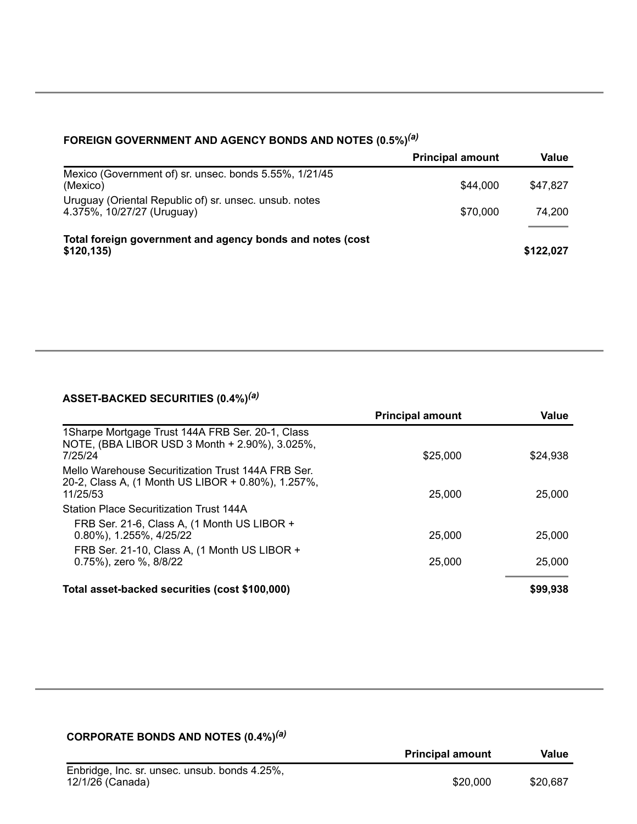| FOREIGN GOVERNMENT AND AGENCY BONDS AND NOTES (0.5%) <sup>(a)</sup>                  |                         |           |  |  |  |
|--------------------------------------------------------------------------------------|-------------------------|-----------|--|--|--|
|                                                                                      | <b>Principal amount</b> | Value     |  |  |  |
| Mexico (Government of) sr. unsec. bonds 5.55%, 1/21/45<br>(Mexico)                   | \$44,000                | \$47.827  |  |  |  |
| Uruguay (Oriental Republic of) sr. unsec. unsub. notes<br>4.375%, 10/27/27 (Uruguay) | \$70,000                | 74.200    |  |  |  |
| Total foreign government and agency bonds and notes (cost<br>\$120,135               |                         | \$122,027 |  |  |  |

## *(a)*

#### **ASSET-BACKED SECURITIES (0.4%)** *(a)*

|                                                                                                                      | <b>Principal amount</b> | <b>Value</b> |
|----------------------------------------------------------------------------------------------------------------------|-------------------------|--------------|
| 1 Sharpe Mortgage Trust 144A FRB Ser. 20-1, Class<br>NOTE, (BBA LIBOR USD 3 Month + 2.90%), 3.025%,<br>7/25/24       | \$25,000                | \$24.938     |
| Mello Warehouse Securitization Trust 144A FRB Ser.<br>20-2, Class A, (1 Month US LIBOR + 0.80%), 1.257%,<br>11/25/53 | 25,000                  | 25,000       |
| <b>Station Place Securitization Trust 144A</b>                                                                       |                         |              |
| FRB Ser. 21-6, Class A, (1 Month US LIBOR +<br>$0.80\%$ , 1.255%, 4/25/22                                            | 25,000                  | 25,000       |
| FRB Ser. 21-10, Class A, (1 Month US LIBOR +<br>0.75%), zero %, 8/8/22                                               | 25,000                  | 25,000       |
| Total asset-backed securities (cost \$100,000)                                                                       |                         | \$99,938     |

#### **CORPORATE BONDS AND NOTES (0.4%)** *(a)*

|                                               | <b>Principal amount</b> | Value    |
|-----------------------------------------------|-------------------------|----------|
| Enbridge, Inc. sr. unsec. unsub. bonds 4.25%, |                         |          |
| 12/1/26 (Canada)                              | \$20,000                | \$20,687 |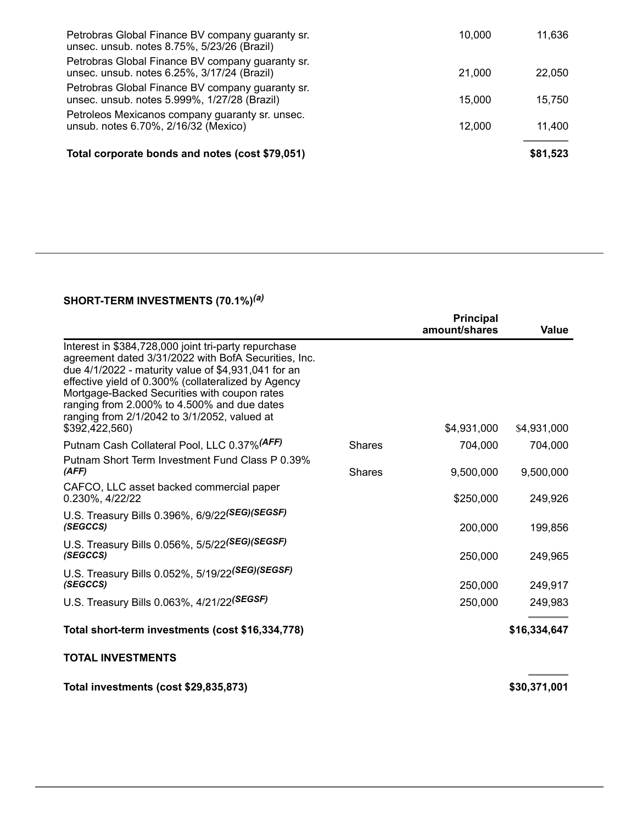| Petrobras Global Finance BV company guaranty sr.<br>unsec. unsub. notes 8.75%, 5/23/26 (Brazil)  | 10,000 | 11,636   |
|--------------------------------------------------------------------------------------------------|--------|----------|
| Petrobras Global Finance BV company guaranty sr.<br>unsec. unsub. notes 6.25%, 3/17/24 (Brazil)  | 21,000 | 22,050   |
| Petrobras Global Finance BV company guaranty sr.<br>unsec. unsub. notes 5.999%, 1/27/28 (Brazil) | 15,000 | 15,750   |
| Petroleos Mexicanos company guaranty sr. unsec.<br>unsub. notes 6.70%, 2/16/32 (Mexico)          | 12,000 | 11,400   |
| Total corporate bonds and notes (cost \$79,051)                                                  |        | \$81,523 |

#### **SHORT-TERM INVESTMENTS (70.1%)** *(a)*

|                                                                                                                                                                                                                                                                                                                                                                                             |               | <b>Principal</b><br>amount/shares | Value        |
|---------------------------------------------------------------------------------------------------------------------------------------------------------------------------------------------------------------------------------------------------------------------------------------------------------------------------------------------------------------------------------------------|---------------|-----------------------------------|--------------|
| Interest in \$384,728,000 joint tri-party repurchase<br>agreement dated 3/31/2022 with BofA Securities, Inc.<br>due 4/1/2022 - maturity value of \$4,931,041 for an<br>effective yield of 0.300% (collateralized by Agency<br>Mortgage-Backed Securities with coupon rates<br>ranging from 2.000% to 4.500% and due dates<br>ranging from 2/1/2042 to 3/1/2052, valued at<br>\$392,422,560) |               | \$4,931,000                       | \$4,931,000  |
| Putnam Cash Collateral Pool, LLC 0.37% (AFF)                                                                                                                                                                                                                                                                                                                                                | <b>Shares</b> | 704,000                           | 704,000      |
| Putnam Short Term Investment Fund Class P 0.39%<br>(AFF)                                                                                                                                                                                                                                                                                                                                    | <b>Shares</b> | 9,500,000                         | 9,500,000    |
| CAFCO, LLC asset backed commercial paper<br>0.230%, 4/22/22                                                                                                                                                                                                                                                                                                                                 |               | \$250,000                         | 249,926      |
| U.S. Treasury Bills 0.396%, 6/9/22(SEG)(SEGSF)<br>(SEGCCS)                                                                                                                                                                                                                                                                                                                                  |               | 200,000                           | 199,856      |
| U.S. Treasury Bills 0.056%, 5/5/22(SEG)(SEGSF)<br>(SEGCCS)                                                                                                                                                                                                                                                                                                                                  |               | 250,000                           | 249,965      |
| U.S. Treasury Bills 0.052%, 5/19/22(SEG)(SEGSF)                                                                                                                                                                                                                                                                                                                                             |               |                                   |              |
| (SEGCCS)                                                                                                                                                                                                                                                                                                                                                                                    |               | 250,000                           | 249,917      |
| U.S. Treasury Bills 0.063%, 4/21/22(SEGSF)                                                                                                                                                                                                                                                                                                                                                  |               | 250,000                           | 249,983      |
| Total short-term investments (cost \$16,334,778)                                                                                                                                                                                                                                                                                                                                            |               |                                   | \$16,334,647 |
| <b>TOTAL INVESTMENTS</b>                                                                                                                                                                                                                                                                                                                                                                    |               |                                   |              |
| Total investments (cost \$29,835,873)                                                                                                                                                                                                                                                                                                                                                       |               |                                   | \$30,371,001 |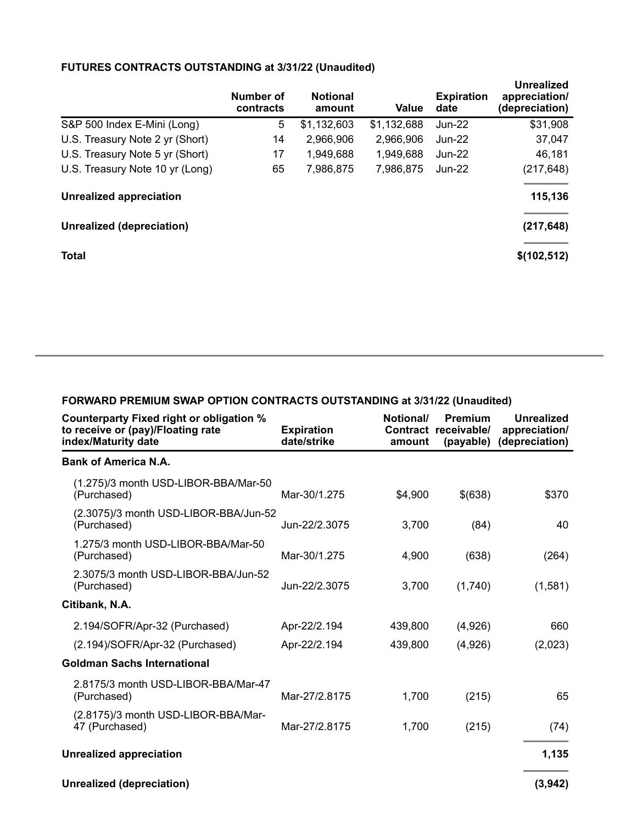#### **FUTURES CONTRACTS OUTSTANDING at 3/31/22 (Unaudited)**

|                                 | Number of<br>contracts | <b>Notional</b><br>amount | Value       | <b>Expiration</b><br>date | Unrealized<br>appreciation/<br>(depreciation) |
|---------------------------------|------------------------|---------------------------|-------------|---------------------------|-----------------------------------------------|
| S&P 500 Index E-Mini (Long)     | 5                      | \$1,132,603               | \$1,132,688 | Jun-22                    | \$31,908                                      |
| U.S. Treasury Note 2 yr (Short) | 14                     | 2,966,906                 | 2,966,906   | $Jun-22$                  | 37,047                                        |
| U.S. Treasury Note 5 yr (Short) | 17                     | 1,949,688                 | 1,949,688   | $Jun-22$                  | 46,181                                        |
| U.S. Treasury Note 10 yr (Long) | 65                     | 7,986,875                 | 7,986,875   | $Jun-22$                  | (217, 648)                                    |
| Unrealized appreciation         |                        |                           |             |                           | 115,136                                       |
| Unrealized (depreciation)       |                        |                           |             |                           | (217, 648)                                    |
| <b>Total</b>                    |                        |                           |             |                           | \$(102, 512)                                  |

| Counterparty Fixed right or obligation %<br>to receive or (pay)/Floating rate<br>index/Maturity date | <b>Expiration</b><br>date/strike | Notional/<br>amount | Premium<br>Contract receivable/<br>(payable) | <b>Unrealized</b><br>appreciation/<br>(depreciation) |
|------------------------------------------------------------------------------------------------------|----------------------------------|---------------------|----------------------------------------------|------------------------------------------------------|
| <b>Bank of America N.A.</b>                                                                          |                                  |                     |                                              |                                                      |
| (1.275)/3 month USD-LIBOR-BBA/Mar-50<br>(Purchased)                                                  | Mar-30/1.275                     | \$4,900             | \$(638)                                      | \$370                                                |
| (2.3075)/3 month USD-LIBOR-BBA/Jun-52<br>(Purchased)                                                 | Jun-22/2.3075                    | 3,700               | (84)                                         | 40                                                   |
| 1.275/3 month USD-LIBOR-BBA/Mar-50<br>(Purchased)                                                    | Mar-30/1.275                     | 4,900               | (638)                                        | (264)                                                |
| 2.3075/3 month USD-LIBOR-BBA/Jun-52<br>(Purchased)                                                   | Jun-22/2.3075                    | 3,700               | (1,740)                                      | (1,581)                                              |
| Citibank, N.A.                                                                                       |                                  |                     |                                              |                                                      |
| 2.194/SOFR/Apr-32 (Purchased)                                                                        | Apr-22/2.194                     | 439,800             | (4,926)                                      | 660                                                  |
| (2.194)/SOFR/Apr-32 (Purchased)                                                                      | Apr-22/2.194                     | 439,800             | (4,926)                                      | (2,023)                                              |
| <b>Goldman Sachs International</b>                                                                   |                                  |                     |                                              |                                                      |
| 2.8175/3 month USD-LIBOR-BBA/Mar-47<br>(Purchased)                                                   | Mar-27/2.8175                    | 1,700               | (215)                                        | 65                                                   |
| (2.8175)/3 month USD-LIBOR-BBA/Mar-<br>47 (Purchased)                                                | Mar-27/2.8175                    | 1,700               | (215)                                        | (74)                                                 |
| <b>Unrealized appreciation</b>                                                                       |                                  |                     |                                              | 1,135                                                |
| Unrealized (depreciation)                                                                            |                                  |                     |                                              | (3,942)                                              |

**FORWARD PREMIUM SWAP OPTION CONTRACTS OUTSTANDING at 3/31/22 (Unaudited)**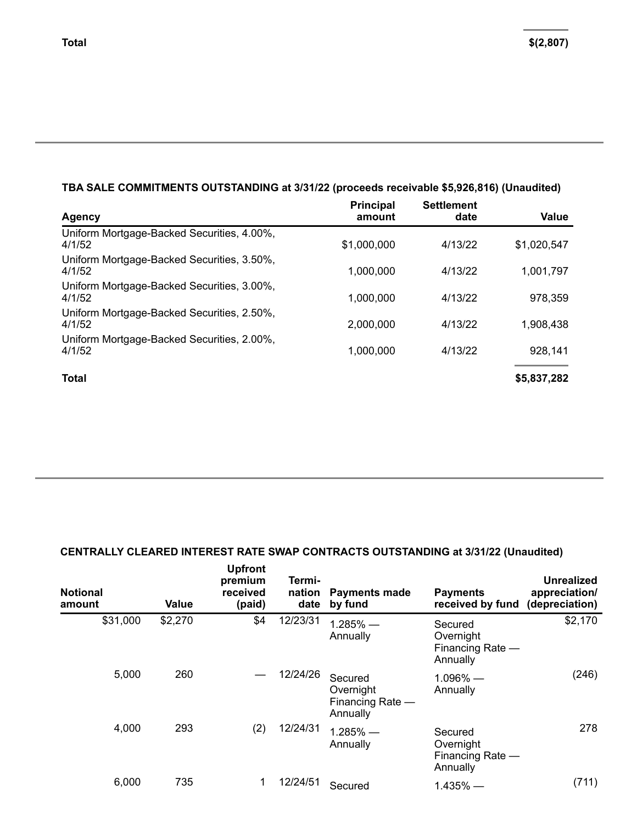## **TBA SALE COMMITMENTS OUTSTANDING at 3/31/22 (proceeds receivable \$5,926,816) (Unaudited)**

| Agency                                               | <b>Principal</b><br>amount | <b>Settlement</b><br>date | <b>Value</b> |
|------------------------------------------------------|----------------------------|---------------------------|--------------|
| Uniform Mortgage-Backed Securities, 4.00%,<br>4/1/52 | \$1,000,000                | 4/13/22                   | \$1,020,547  |
| Uniform Mortgage-Backed Securities, 3.50%,<br>4/1/52 | 1,000,000                  | 4/13/22                   | 1,001,797    |
| Uniform Mortgage-Backed Securities, 3.00%,<br>4/1/52 | 1,000,000                  | 4/13/22                   | 978,359      |
| Uniform Mortgage-Backed Securities, 2.50%,<br>4/1/52 | 2,000,000                  | 4/13/22                   | 1,908,438    |
| Uniform Mortgage-Backed Securities, 2.00%,<br>4/1/52 | 1,000,000                  | 4/13/22                   | 928,141      |
| <b>Total</b>                                         |                            |                           | \$5,837,282  |

### **CENTRALLY CLEARED INTEREST RATE SWAP CONTRACTS OUTSTANDING at 3/31/22 (Unaudited)**

| <b>Notional</b><br>amount | Value   | <b>Upfront</b><br>premium<br>received<br>(paid) | Termi-<br>nation<br>date | <b>Payments made</b><br>by fund                      | <b>Payments</b><br>received by fund                  | Unrealized<br>appreciation/<br>(depreciation) |
|---------------------------|---------|-------------------------------------------------|--------------------------|------------------------------------------------------|------------------------------------------------------|-----------------------------------------------|
| \$31,000                  | \$2,270 | \$4                                             | 12/23/31                 | $1.285%$ —<br>Annually                               | Secured<br>Overnight<br>Financing Rate -<br>Annually | \$2,170                                       |
| 5,000                     | 260     |                                                 | 12/24/26                 | Secured<br>Overnight<br>Financing Rate -<br>Annually | $1.096\%$ —<br>Annually                              | (246)                                         |
| 4,000                     | 293     | (2)                                             | 12/24/31                 | $1.285\%$ —<br>Annually                              | Secured<br>Overnight<br>Financing Rate -<br>Annually | 278                                           |
| 6,000                     | 735     |                                                 | 12/24/51                 | Secured                                              | $1.435%$ —                                           | (711)                                         |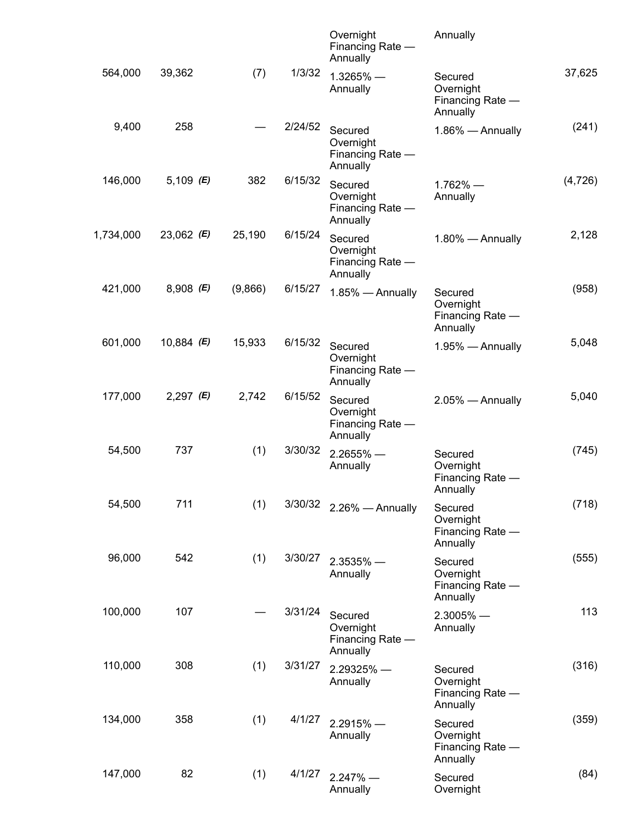|          | Annually                                             | Overnight<br>Financing Rate -<br>Annually            |         |         |                     |           |
|----------|------------------------------------------------------|------------------------------------------------------|---------|---------|---------------------|-----------|
| 37,625   | Secured<br>Overnight<br>Financing Rate -<br>Annually | $1.3265%$ $-$<br>Annually                            | 1/3/32  | (7)     | 39,362              | 564,000   |
| (241)    | 1.86% - Annually                                     | Secured<br>Overnight<br>Financing Rate -<br>Annually | 2/24/52 |         | 258                 | 9,400     |
| (4, 726) | $1.762%$ —<br>Annually                               | Secured<br>Overnight<br>Financing Rate -<br>Annually | 6/15/32 | 382     | 5,109 (E)           | 146,000   |
| 2,128    | 1.80% - Annually                                     | Secured<br>Overnight<br>Financing Rate -<br>Annually | 6/15/24 | 25,190  | 23,062 ( <b>E</b> ) | 1,734,000 |
| (958)    | Secured<br>Overnight<br>Financing Rate -<br>Annually | 1.85% - Annually                                     | 6/15/27 | (9,866) | $8,908$ (E)         | 421,000   |
| 5,048    | 1.95% - Annually                                     | Secured<br>Overnight<br>Financing Rate -<br>Annually | 6/15/32 | 15,933  | 10,884 ( <b>E</b> ) | 601,000   |
| 5,040    | 2.05% - Annually                                     | Secured<br>Overnight<br>Financing Rate -<br>Annually | 6/15/52 | 2,742   | 2,297 ( <b>E</b> )  | 177,000   |
| (745)    | Secured<br>Overnight<br>Financing Rate -<br>Annually | $2.2655\%$ —<br>Annually                             | 3/30/32 | (1)     | 737                 | 54,500    |
| (718)    | Secured<br>Overnight<br>Financing Rate -<br>Annually | 2.26% - Annually                                     | 3/30/32 | (1)     | 711                 | 54,500    |
| (555)    | Secured<br>Overnight<br>Financing Rate -<br>Annually | $2.3535\%$ —<br>Annually                             | 3/30/27 | (1)     | 542                 | 96,000    |
| 113      | $2.3005\%$ –<br>Annually                             | Secured<br>Overnight<br>Financing Rate -<br>Annually | 3/31/24 |         | 107                 | 100,000   |
| (316)    | Secured<br>Overnight<br>Financing Rate -<br>Annually | 2.29325% -<br>Annually                               | 3/31/27 | (1)     | 308                 | 110,000   |
| (359)    | Secured<br>Overnight<br>Financing Rate -<br>Annually | $2.2915%$ $-$<br>Annually                            | 4/1/27  | (1)     | 358                 | 134,000   |
| (84)     | Secured<br>Overnight                                 | $2.247%$ –<br>Annually                               | 4/1/27  | (1)     | 82                  | 147,000   |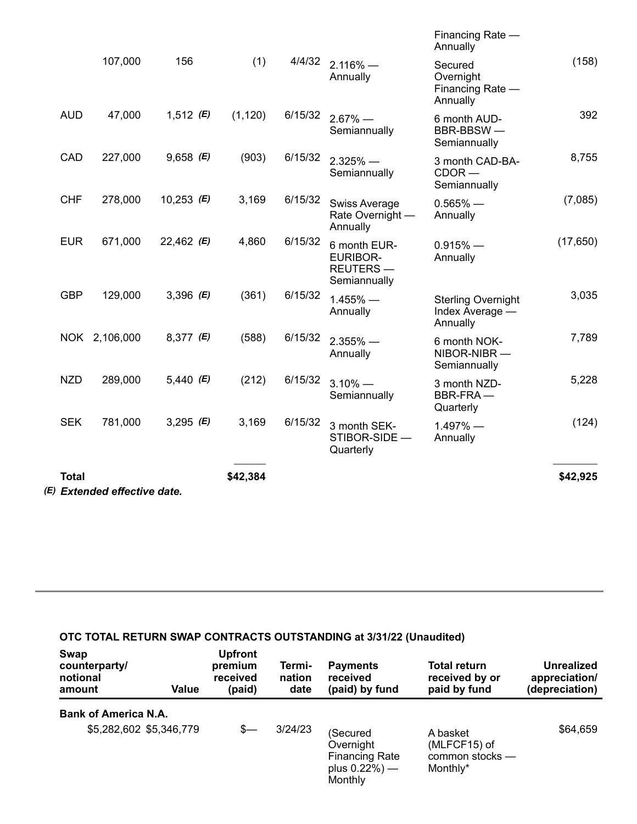| (E) Extended effective date. |              |               |                     |          |         |                                                             |                                                          |           |  |  |
|------------------------------|--------------|---------------|---------------------|----------|---------|-------------------------------------------------------------|----------------------------------------------------------|-----------|--|--|
|                              | <b>Total</b> |               |                     | \$42,384 |         |                                                             |                                                          | \$42,925  |  |  |
|                              | <b>SEK</b>   | 781,000       | 3,295 (E)           | 3,169    | 6/15/32 | 3 month SEK-<br>STIBOR-SIDE -<br>Quarterly                  | $1.497\%$ –<br>Annually                                  | (124)     |  |  |
|                              | <b>NZD</b>   | 289,000       | 5,440 ( <b>E</b> )  | (212)    | 6/15/32 | $3.10\%$ —<br>Semiannually                                  | 3 month NZD-<br>BBR-FRA-<br>Quarterly                    | 5,228     |  |  |
|                              |              | NOK 2,106,000 | $8,377$ (E)         | (588)    | 6/15/32 | $2.355\%$ –<br>Annually                                     | 6 month NOK-<br>NIBOR-NIBR-<br>Semiannually              | 7,789     |  |  |
|                              | <b>GBP</b>   | 129,000       | 3,396 $(E)$         | (361)    | 6/15/32 | $1.455\%$ —<br>Annually                                     | <b>Sterling Overnight</b><br>Index Average -<br>Annually | 3,035     |  |  |
|                              | <b>EUR</b>   | 671,000       | 22,462 (E)          | 4,860    | 6/15/32 | 6 month EUR-<br><b>EURIBOR-</b><br>REUTERS-<br>Semiannually | $0.915%$ —<br>Annually                                   | (17, 650) |  |  |
|                              | <b>CHF</b>   | 278,000       | 10,253 ( <b>E</b> ) | 3,169    | 6/15/32 | <b>Swiss Average</b><br>Rate Overnight -<br>Annually        | $0.565%$ —<br>Annually                                   | (7,085)   |  |  |
|                              | CAD          | 227,000       | $9,658$ (E)         | (903)    | 6/15/32 | $2.325%$ —<br>Semiannually                                  | 3 month CAD-BA-<br>$CDOR$ —<br>Semiannually              | 8,755     |  |  |
|                              | <b>AUD</b>   | 47,000        | 1,512 ( <b>E</b> )  | (1, 120) | 6/15/32 | $2.67\%$ —<br>Semiannually                                  | 6 month AUD-<br>BBR-BBSW-<br>Semiannually                | 392       |  |  |
|                              |              | 107,000       | 156                 | (1)      | 4/4/32  | $2.116\%$ —<br>Annually                                     | Secured<br>Overnight<br>Financing Rate -<br>Annually     | (158)     |  |  |
|                              |              |               |                     |          |         |                                                             | Financing Rate -<br>Annually                             |           |  |  |

## **OTC TOTAL RETURN SWAP CONTRACTS OUTSTANDING at 3/31/22 (Unaudited)**

| Swap<br>counterparty/<br>notional<br>amount | Value | <b>Upfront</b><br>premium<br>received<br>(paid) | Termi-<br>nation<br>date | <b>Payments</b><br>received<br>(paid) by fund                                 | <b>Total return</b><br>received by or<br>paid by fund   | Unrealized<br>appreciation/<br>(depreciation) |
|---------------------------------------------|-------|-------------------------------------------------|--------------------------|-------------------------------------------------------------------------------|---------------------------------------------------------|-----------------------------------------------|
| <b>Bank of America N.A.</b>                 |       |                                                 |                          |                                                                               |                                                         |                                               |
| \$5,282,602 \$5,346,779                     |       | $s-$                                            | 3/24/23                  | (Secured<br>Overnight<br><b>Financing Rate</b><br>plus $0.22%$ ) —<br>Monthly | A basket<br>(MLFCF15) of<br>common stocks -<br>Monthly* | \$64,659                                      |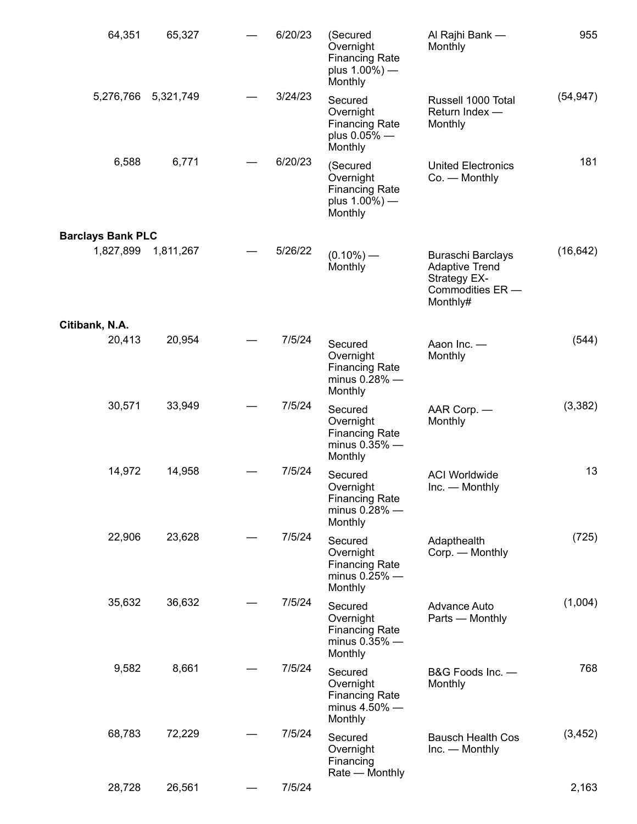| 64,351                   | 65,327    | 6/20/23 | (Secured<br>Overnight<br><b>Financing Rate</b><br>plus $1.00\%$ ) —<br>Monthly | Al Rajhi Bank -<br>Monthly                                                                        | 955       |
|--------------------------|-----------|---------|--------------------------------------------------------------------------------|---------------------------------------------------------------------------------------------------|-----------|
| 5,276,766                | 5,321,749 | 3/24/23 | Secured<br>Overnight<br><b>Financing Rate</b><br>plus 0.05% -<br>Monthly       | Russell 1000 Total<br>Return Index -<br>Monthly                                                   | (54, 947) |
| 6,588                    | 6,771     | 6/20/23 | (Secured<br>Overnight<br><b>Financing Rate</b><br>plus $1.00\%$ ) —<br>Monthly | <b>United Electronics</b><br>$Co.$ - Monthly                                                      | 181       |
| <b>Barclays Bank PLC</b> |           |         |                                                                                |                                                                                                   |           |
| 1,827,899                | 1,811,267 | 5/26/22 | $(0.10\%)$ —<br>Monthly                                                        | <b>Buraschi Barclays</b><br><b>Adaptive Trend</b><br>Strategy EX-<br>Commodities ER -<br>Monthly# | (16, 642) |
| Citibank, N.A.           |           |         |                                                                                |                                                                                                   |           |
| 20,413                   | 20,954    | 7/5/24  | Secured<br>Overnight<br><b>Financing Rate</b><br>minus $0.28\%$ -<br>Monthly   | Aaon Inc. -<br>Monthly                                                                            | (544)     |
| 30,571                   | 33,949    | 7/5/24  | Secured<br>Overnight<br><b>Financing Rate</b><br>minus 0.35% -<br>Monthly      | AAR Corp. —<br>Monthly                                                                            | (3,382)   |
| 14,972                   | 14,958    | 7/5/24  | Secured<br>Overnight<br><b>Financing Rate</b><br>minus 0.28% -<br>Monthly      | <b>ACI Worldwide</b><br>Inc. - Monthly                                                            | 13        |
| 22,906                   | 23,628    | 7/5/24  | Secured<br>Overnight<br><b>Financing Rate</b><br>minus $0.25\%$ —<br>Monthly   | Adapthealth<br>Corp. - Monthly                                                                    | (725)     |
| 35,632                   | 36,632    | 7/5/24  | Secured<br>Overnight<br><b>Financing Rate</b><br>minus 0.35% -<br>Monthly      | Advance Auto<br>Parts - Monthly                                                                   | (1,004)   |
| 9,582                    | 8,661     | 7/5/24  | Secured<br>Overnight<br><b>Financing Rate</b><br>minus $4.50\%$ -<br>Monthly   | B&G Foods Inc. -<br>Monthly                                                                       | 768       |
| 68,783                   | 72,229    | 7/5/24  | Secured<br>Overnight<br>Financing<br>Rate - Monthly                            | <b>Bausch Health Cos</b><br>Inc. — Monthly                                                        | (3, 452)  |
| 28,728                   | 26,561    | 7/5/24  |                                                                                |                                                                                                   | 2,163     |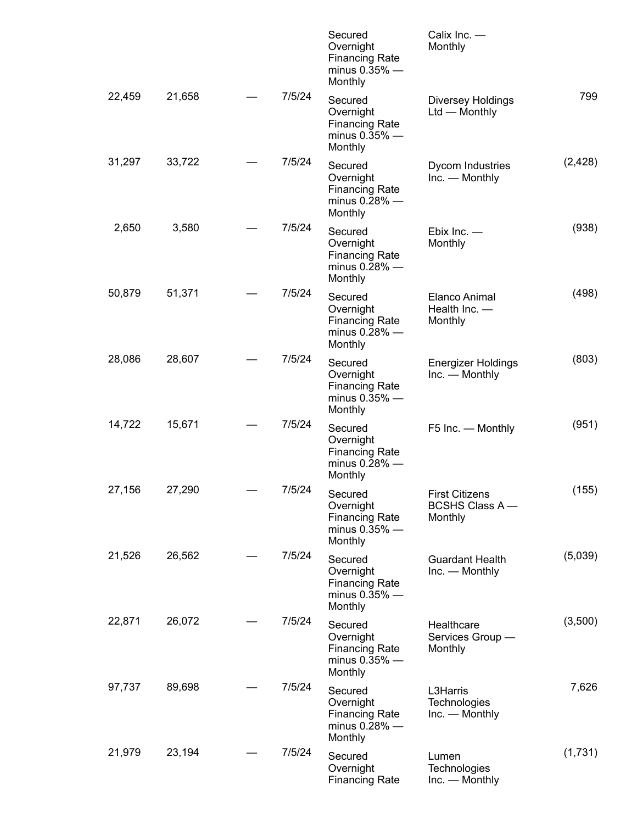|        |        |        | Secured<br>Overnight<br><b>Financing Rate</b><br>minus $0.35\%$ —<br>Monthly | Calix Inc. -<br>Monthly                                   |          |
|--------|--------|--------|------------------------------------------------------------------------------|-----------------------------------------------------------|----------|
| 22,459 | 21,658 | 7/5/24 | Secured<br>Overnight<br><b>Financing Rate</b><br>minus $0.35\%$ -<br>Monthly | <b>Diversey Holdings</b><br>Ltd - Monthly                 | 799      |
| 31,297 | 33,722 | 7/5/24 | Secured<br>Overnight<br><b>Financing Rate</b><br>minus $0.28\%$ —<br>Monthly | Dycom Industries<br>Inc. — Monthly                        | (2, 428) |
| 2,650  | 3,580  | 7/5/24 | Secured<br>Overnight<br><b>Financing Rate</b><br>minus $0.28\%$ -<br>Monthly | Ebix Inc. $-$<br>Monthly                                  | (938)    |
| 50,879 | 51,371 | 7/5/24 | Secured<br>Overnight<br><b>Financing Rate</b><br>minus $0.28\%$ -<br>Monthly | Elanco Animal<br>Health Inc. -<br>Monthly                 | (498)    |
| 28,086 | 28,607 | 7/5/24 | Secured<br>Overnight<br><b>Financing Rate</b><br>minus $0.35\%$ -<br>Monthly | <b>Energizer Holdings</b><br>Inc. — Monthly               | (803)    |
| 14,722 | 15,671 | 7/5/24 | Secured<br>Overnight<br><b>Financing Rate</b><br>minus $0.28\%$ -<br>Monthly | F5 Inc. - Monthly                                         | (951)    |
| 27,156 | 27,290 | 7/5/24 | Secured<br>Overnight<br><b>Financing Rate</b><br>minus $0.35\%$ -<br>Monthly | <b>First Citizens</b><br><b>BCSHS Class A-</b><br>Monthly | (155)    |
| 21,526 | 26,562 | 7/5/24 | Secured<br>Overnight<br><b>Financing Rate</b><br>minus $0.35\%$ —<br>Monthly | <b>Guardant Health</b><br>Inc. — Monthly                  | (5,039)  |
| 22,871 | 26,072 | 7/5/24 | Secured<br>Overnight<br><b>Financing Rate</b><br>minus $0.35\%$ -<br>Monthly | Healthcare<br>Services Group -<br>Monthly                 | (3,500)  |
| 97,737 | 89,698 | 7/5/24 | Secured<br>Overnight<br><b>Financing Rate</b><br>minus $0.28\%$ —<br>Monthly | L3Harris<br>Technologies<br>Inc. — Monthly                | 7,626    |
| 21,979 | 23,194 | 7/5/24 | Secured<br>Overnight<br><b>Financing Rate</b>                                | Lumen<br>Technologies<br>Inc. — Monthly                   | (1,731)  |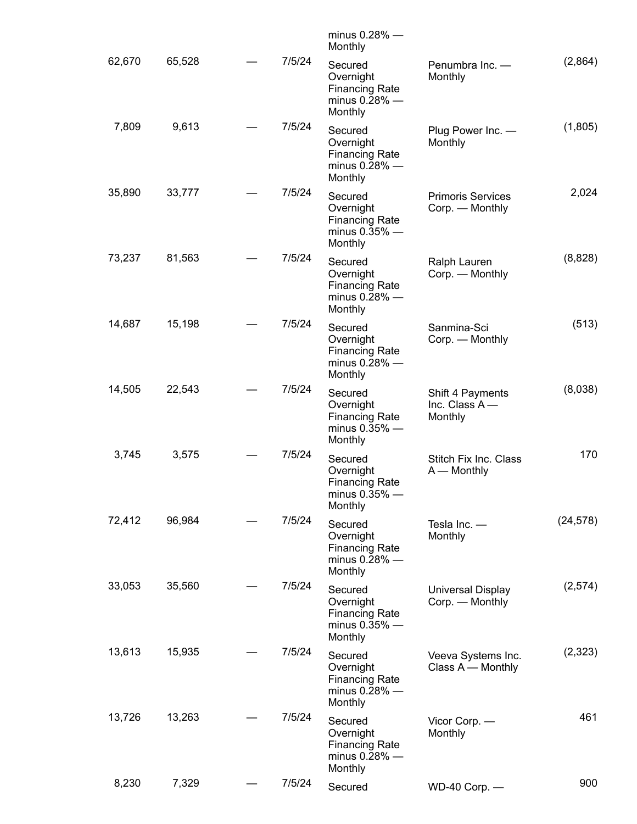|           |                                              | minus $0.28\%$ —<br>Monthly                                                  |        |        |        |
|-----------|----------------------------------------------|------------------------------------------------------------------------------|--------|--------|--------|
| (2,864)   | Penumbra Inc. -<br>Monthly                   | Secured<br>Overnight<br><b>Financing Rate</b><br>minus $0.28\%$ -<br>Monthly | 7/5/24 | 65,528 | 62,670 |
| (1,805)   | Plug Power Inc. -<br>Monthly                 | Secured<br>Overnight<br><b>Financing Rate</b><br>minus $0.28\%$ -<br>Monthly | 7/5/24 | 9,613  | 7,809  |
| 2,024     | <b>Primoris Services</b><br>Corp. — Monthly  | Secured<br>Overnight<br><b>Financing Rate</b><br>minus $0.35\%$ -<br>Monthly | 7/5/24 | 33,777 | 35,890 |
| (8,828)   | Ralph Lauren<br>Corp. - Monthly              | Secured<br>Overnight<br><b>Financing Rate</b><br>minus $0.28\%$ -<br>Monthly | 7/5/24 | 81,563 | 73,237 |
| (513)     | Sanmina-Sci<br>Corp. — Monthly               | Secured<br>Overnight<br><b>Financing Rate</b><br>minus $0.28\%$ —<br>Monthly | 7/5/24 | 15,198 | 14,687 |
| (8,038)   | Shift 4 Payments<br>Inc. Class A-<br>Monthly | Secured<br>Overnight<br><b>Financing Rate</b><br>minus $0.35\%$ —<br>Monthly | 7/5/24 | 22,543 | 14,505 |
| 170       | Stitch Fix Inc. Class<br>$A -$ Monthly       | Secured<br>Overnight<br><b>Financing Rate</b><br>minus $0.35\%$ —<br>Monthly | 7/5/24 | 3,575  | 3,745  |
| (24, 578) | Tesla Inc. -<br>Monthly                      | Secured<br>Overnight<br><b>Financing Rate</b><br>minus $0.28\%$ -<br>Monthly | 7/5/24 | 96,984 | 72,412 |
| (2,574)   | Universal Display<br>Corp. — Monthly         | Secured<br>Overnight<br><b>Financing Rate</b><br>minus $0.35\%$ -<br>Monthly | 7/5/24 | 35,560 | 33,053 |
| (2,323)   | Veeva Systems Inc.<br>Class A - Monthly      | Secured<br>Overnight<br><b>Financing Rate</b><br>minus $0.28\%$ -<br>Monthly | 7/5/24 | 15,935 | 13,613 |
| 461       | Vicor Corp. -<br>Monthly                     | Secured<br>Overnight<br><b>Financing Rate</b><br>minus $0.28\%$ —<br>Monthly | 7/5/24 | 13,263 | 13,726 |
| 900       | WD-40 Corp. -                                | Secured                                                                      | 7/5/24 | 7,329  | 8,230  |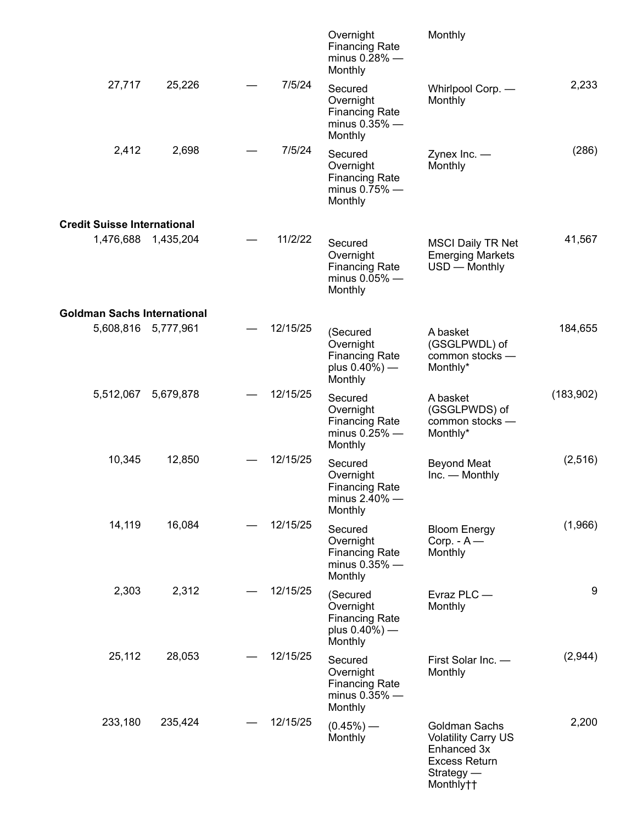|            | Monthly                                                                                                         | Overnight<br><b>Financing Rate</b><br>minus $0.28\%$ -<br>Monthly              |          |                     |                                    |
|------------|-----------------------------------------------------------------------------------------------------------------|--------------------------------------------------------------------------------|----------|---------------------|------------------------------------|
| 2,233      | Whirlpool Corp. -<br>Monthly                                                                                    | Secured<br>Overnight<br><b>Financing Rate</b><br>minus $0.35\%$ -<br>Monthly   | 7/5/24   | 25,226              | 27,717                             |
| (286)      | Zynex Inc. $-$<br>Monthly                                                                                       | Secured<br>Overnight<br><b>Financing Rate</b><br>minus $0.75\%$ —<br>Monthly   | 7/5/24   | 2,698               | 2,412                              |
|            |                                                                                                                 |                                                                                |          |                     | <b>Credit Suisse International</b> |
| 41,567     | <b>MSCI Daily TR Net</b><br><b>Emerging Markets</b><br>USD - Monthly                                            | Secured<br>Overnight<br><b>Financing Rate</b><br>minus $0.05\%$ -<br>Monthly   | 11/2/22  | 1,476,688 1,435,204 |                                    |
|            |                                                                                                                 |                                                                                |          |                     | <b>Goldman Sachs International</b> |
| 184,655    | A basket<br>(GSGLPWDL) of<br>common stocks -<br>Monthly*                                                        | (Secured<br>Overnight<br><b>Financing Rate</b><br>plus $0.40\%$ ) —<br>Monthly | 12/15/25 | 5,608,816 5,777,961 |                                    |
| (183, 902) | A basket<br>(GSGLPWDS) of<br>common stocks -<br>Monthly*                                                        | Secured<br>Overnight<br><b>Financing Rate</b><br>minus $0.25\%$ -<br>Monthly   | 12/15/25 | 5,679,878           | 5,512,067                          |
| (2,516)    | <b>Beyond Meat</b><br>Inc. — Monthly                                                                            | Secured<br>Overnight<br><b>Financing Rate</b><br>minus $2.40\%$ —<br>Monthly   | 12/15/25 | 12,850              | 10,345                             |
| (1,966)    | <b>Bloom Energy</b><br>Corp. $-A$ —<br>Monthly                                                                  | Secured<br>Overnight<br><b>Financing Rate</b><br>minus $0.35\%$ -<br>Monthly   | 12/15/25 | 16,084              | 14,119                             |
| 9          | Evraz PLC-<br>Monthly                                                                                           | (Secured<br>Overnight<br><b>Financing Rate</b><br>plus $0.40\%$ ) —<br>Monthly | 12/15/25 | 2,312               | 2,303                              |
| (2,944)    | First Solar Inc. -<br>Monthly                                                                                   | Secured<br>Overnight<br><b>Financing Rate</b><br>minus $0.35\%$ -<br>Monthly   | 12/15/25 | 28,053              | 25,112                             |
| 2,200      | Goldman Sachs<br><b>Volatility Carry US</b><br>Enhanced 3x<br><b>Excess Return</b><br>$Strategy -$<br>Monthly†† | $(0.45\%)$ —<br>Monthly                                                        | 12/15/25 | 235,424             | 233,180                            |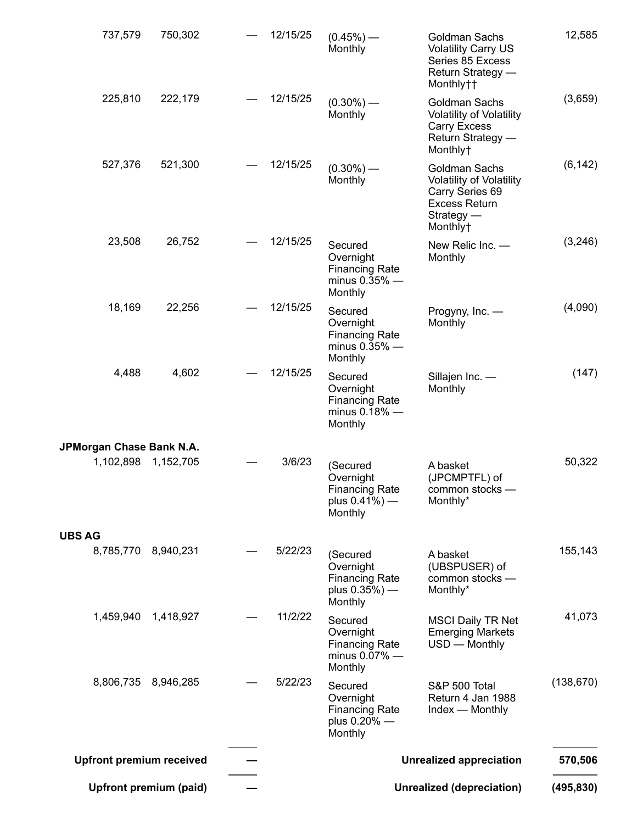|                                       | <b>Upfront premium (paid)</b> |          |                                                                               | <b>Unrealized (depreciation)</b>                                                                                        | (495, 830) |
|---------------------------------------|-------------------------------|----------|-------------------------------------------------------------------------------|-------------------------------------------------------------------------------------------------------------------------|------------|
| <b>Upfront premium received</b>       |                               |          |                                                                               | <b>Unrealized appreciation</b>                                                                                          | 570,506    |
| 8,806,735                             | 8,946,285                     | 5/22/23  | Secured<br>Overnight<br><b>Financing Rate</b><br>plus 0.20% -<br>Monthly      | S&P 500 Total<br>Return 4 Jan 1988<br>Index — Monthly                                                                   | (138, 670) |
| 1,459,940                             | 1,418,927                     | 11/2/22  | Secured<br>Overnight<br><b>Financing Rate</b><br>minus $0.07\%$ -<br>Monthly  | <b>MSCI Daily TR Net</b><br><b>Emerging Markets</b><br>USD - Monthly                                                    | 41,073     |
|                                       | 8,785,770 8,940,231           | 5/22/23  | (Secured<br>Overnight<br><b>Financing Rate</b><br>plus $0.35%$ ) —<br>Monthly | A basket<br>(UBSPUSER) of<br>common stocks -<br>Monthly*                                                                | 155,143    |
| <b>UBS AG</b>                         |                               |          |                                                                               |                                                                                                                         |            |
| JPMorgan Chase Bank N.A.<br>1,102,898 | 1,152,705                     | 3/6/23   | (Secured<br>Overnight<br>Financing Rate<br>plus $0.41\%$ ) —<br>Monthly       | A basket<br>(JPCMPTFL) of<br>common stocks -<br>Monthly*                                                                | 50,322     |
| 4,488                                 | 4,602                         | 12/15/25 | Secured<br>Overnight<br><b>Financing Rate</b><br>minus 0.18% -<br>Monthly     | Sillajen Inc. -<br>Monthly                                                                                              | (147)      |
| 18,169                                | 22,256                        | 12/15/25 | Secured<br>Overnight<br><b>Financing Rate</b><br>minus $0.35\%$ —<br>Monthly  | Progyny, Inc. -<br>Monthly                                                                                              | (4,090)    |
| 23,508                                | 26,752                        | 12/15/25 | Secured<br>Overnight<br><b>Financing Rate</b><br>minus $0.35\%$ -<br>Monthly  | New Relic Inc. -<br>Monthly                                                                                             | (3,246)    |
| 527,376                               | 521,300                       | 12/15/25 | $(0.30\%)$ —<br>Monthly                                                       | Goldman Sachs<br><b>Volatility of Volatility</b><br>Carry Series 69<br><b>Excess Return</b><br>$Strategy -$<br>Monthly† | (6, 142)   |
| 225,810                               | 222,179                       | 12/15/25 | $(0.30\%)$ —<br>Monthly                                                       | Goldman Sachs<br><b>Volatility of Volatility</b><br><b>Carry Excess</b><br>Return Strategy -<br>Monthly+                | (3,659)    |
| 737,579                               | 750,302                       | 12/15/25 | $(0.45\%)$ —<br>Monthly                                                       | Goldman Sachs<br><b>Volatility Carry US</b><br>Series 85 Excess<br>Return Strategy —<br>Monthly††                       | 12,585     |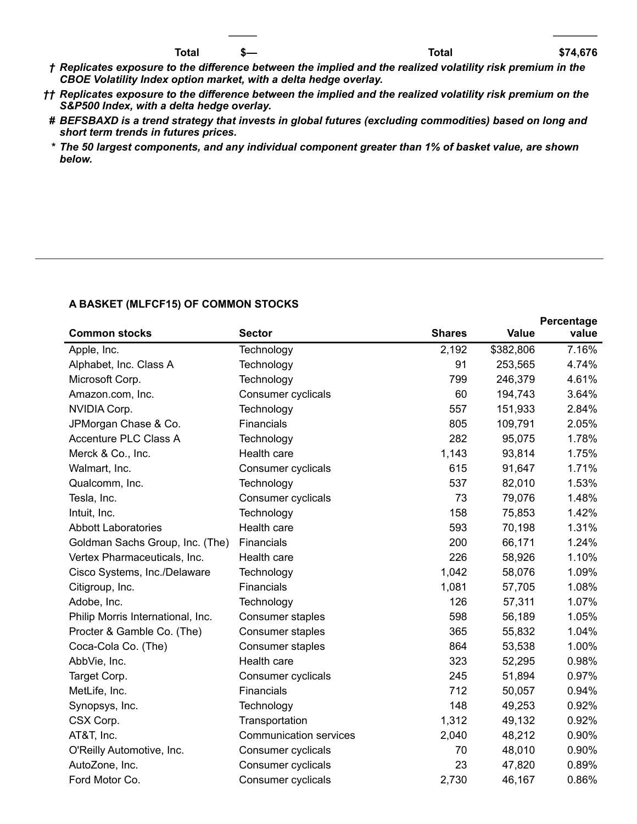- † Replicates exposure to the difference between the implied and the realized volatility risk premium in the *CBOE Volatility Index option market, with a delta hedge overlay.*
- †† Replicates exposure to the difference between the implied and the realized volatility risk premium on the *S&P500 Index, with a delta hedge overlay.*
- *# BEFSBAXD is a trend strategy that invests in global futures (excluding commodities) based on long and short term trends in futures prices.*
- *\* The 50 largest components, and any individual component greater than 1% of basket value, are shown below.*

#### **A BASKET (MLFCF15) OF COMMON STOCKS**

|                                   |                               |               |              | Percentage |
|-----------------------------------|-------------------------------|---------------|--------------|------------|
| <b>Common stocks</b>              | <b>Sector</b>                 | <b>Shares</b> | <b>Value</b> | value      |
| Apple, Inc.                       | Technology                    | 2,192         | \$382,806    | 7.16%      |
| Alphabet, Inc. Class A            | Technology                    | 91            | 253,565      | 4.74%      |
| Microsoft Corp.                   | Technology                    | 799           | 246,379      | 4.61%      |
| Amazon.com, Inc.                  | Consumer cyclicals            | 60            | 194,743      | 3.64%      |
| NVIDIA Corp.                      | Technology                    | 557           | 151,933      | 2.84%      |
| JPMorgan Chase & Co.              | Financials                    | 805           | 109,791      | 2.05%      |
| Accenture PLC Class A             | Technology                    | 282           | 95,075       | 1.78%      |
| Merck & Co., Inc.                 | Health care                   | 1,143         | 93,814       | 1.75%      |
| Walmart, Inc.                     | Consumer cyclicals            | 615           | 91,647       | 1.71%      |
| Qualcomm, Inc.                    | Technology                    | 537           | 82,010       | 1.53%      |
| Tesla, Inc.                       | Consumer cyclicals            | 73            | 79,076       | 1.48%      |
| Intuit, Inc.                      | Technology                    | 158           | 75,853       | 1.42%      |
| <b>Abbott Laboratories</b>        | Health care                   | 593           | 70,198       | 1.31%      |
| Goldman Sachs Group, Inc. (The)   | Financials                    | 200           | 66,171       | 1.24%      |
| Vertex Pharmaceuticals, Inc.      | Health care                   | 226           | 58,926       | 1.10%      |
| Cisco Systems, Inc./Delaware      | Technology                    | 1,042         | 58,076       | 1.09%      |
| Citigroup, Inc.                   | Financials                    | 1,081         | 57,705       | 1.08%      |
| Adobe, Inc.                       | Technology                    | 126           | 57,311       | 1.07%      |
| Philip Morris International, Inc. | Consumer staples              | 598           | 56,189       | 1.05%      |
| Procter & Gamble Co. (The)        | Consumer staples              | 365           | 55,832       | 1.04%      |
| Coca-Cola Co. (The)               | Consumer staples              | 864           | 53,538       | 1.00%      |
| AbbVie, Inc.                      | Health care                   | 323           | 52,295       | 0.98%      |
| Target Corp.                      | Consumer cyclicals            | 245           | 51,894       | 0.97%      |
| MetLife, Inc.                     | Financials                    | 712           | 50,057       | 0.94%      |
| Synopsys, Inc.                    | Technology                    | 148           | 49,253       | 0.92%      |
| CSX Corp.                         | Transportation                | 1,312         | 49,132       | 0.92%      |
| AT&T, Inc.                        | <b>Communication services</b> | 2,040         | 48,212       | 0.90%      |
| O'Reilly Automotive, Inc.         | Consumer cyclicals            | 70            | 48,010       | 0.90%      |
| AutoZone, Inc.                    | Consumer cyclicals            | 23            | 47,820       | 0.89%      |
| Ford Motor Co.                    | Consumer cyclicals            | 2,730         | 46,167       | 0.86%      |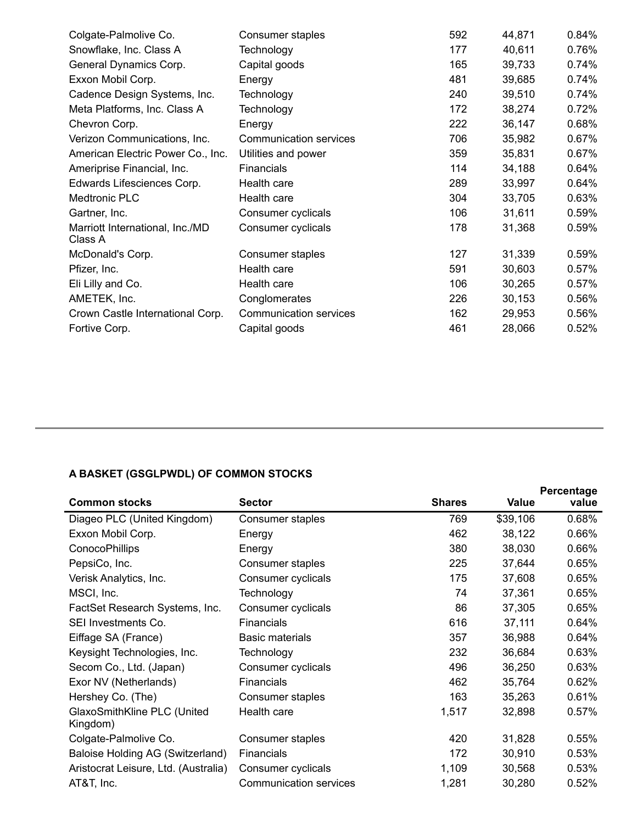| Consumer staples       |     | 44,871 | 0.84%                                                                                                                             |
|------------------------|-----|--------|-----------------------------------------------------------------------------------------------------------------------------------|
| Technology             |     | 40,611 | 0.76%                                                                                                                             |
| Capital goods          |     | 39,733 | 0.74%                                                                                                                             |
| Energy                 |     | 39,685 | 0.74%                                                                                                                             |
| Technology             |     | 39,510 | 0.74%                                                                                                                             |
| Technology             |     | 38,274 | 0.72%                                                                                                                             |
| Energy                 |     | 36,147 | 0.68%                                                                                                                             |
| Communication services |     | 35,982 | 0.67%                                                                                                                             |
| Utilities and power    |     | 35,831 | 0.67%                                                                                                                             |
| Financials             |     | 34,188 | 0.64%                                                                                                                             |
| Health care            |     | 33,997 | 0.64%                                                                                                                             |
| Health care            |     | 33,705 | 0.63%                                                                                                                             |
| Consumer cyclicals     |     | 31,611 | 0.59%                                                                                                                             |
| Consumer cyclicals     |     | 31,368 | 0.59%                                                                                                                             |
| Consumer staples       |     | 31,339 | 0.59%                                                                                                                             |
| Health care            |     | 30,603 | 0.57%                                                                                                                             |
| Health care            |     | 30,265 | 0.57%                                                                                                                             |
| Conglomerates          |     | 30,153 | 0.56%                                                                                                                             |
| Communication services |     | 29,953 | 0.56%                                                                                                                             |
| Capital goods          | 461 | 28,066 | 0.52%                                                                                                                             |
|                        |     |        | 592<br>177<br>165<br>481<br>240<br>172<br>222<br>706<br>359<br>114<br>289<br>304<br>106<br>178<br>127<br>591<br>106<br>226<br>162 |

## **A BASKET (GSGLPWDL) OF COMMON STOCKS**

|                                         |                        |               |          | Percentage |
|-----------------------------------------|------------------------|---------------|----------|------------|
| <b>Common stocks</b>                    | <b>Sector</b>          | <b>Shares</b> | Value    | value      |
| Diageo PLC (United Kingdom)             | Consumer staples       | 769           | \$39,106 | 0.68%      |
| Exxon Mobil Corp.                       | Energy                 | 462           | 38,122   | 0.66%      |
| <b>ConocoPhillips</b>                   | Energy                 | 380           | 38,030   | 0.66%      |
| PepsiCo, Inc.                           | Consumer staples       | 225           | 37,644   | 0.65%      |
| Verisk Analytics, Inc.                  | Consumer cyclicals     | 175           | 37,608   | 0.65%      |
| MSCI, Inc.                              | Technology             | 74            | 37,361   | 0.65%      |
| FactSet Research Systems, Inc.          | Consumer cyclicals     | 86            | 37,305   | 0.65%      |
| SEI Investments Co.                     | <b>Financials</b>      | 616           | 37,111   | 0.64%      |
| Eiffage SA (France)                     | <b>Basic materials</b> | 357           | 36,988   | 0.64%      |
| Keysight Technologies, Inc.             | Technology             | 232           | 36,684   | 0.63%      |
| Secom Co., Ltd. (Japan)                 | Consumer cyclicals     | 496           | 36,250   | 0.63%      |
| Exor NV (Netherlands)                   | Financials             | 462           | 35,764   | 0.62%      |
| Hershey Co. (The)                       | Consumer staples       | 163           | 35,263   | 0.61%      |
| GlaxoSmithKline PLC (United<br>Kingdom) | Health care            | 1,517         | 32,898   | 0.57%      |
| Colgate-Palmolive Co.                   | Consumer staples       | 420           | 31,828   | 0.55%      |
| Baloise Holding AG (Switzerland)        | Financials             | 172           | 30,910   | 0.53%      |
| Aristocrat Leisure, Ltd. (Australia)    | Consumer cyclicals     | 1,109         | 30,568   | 0.53%      |
| AT&T, Inc.                              | Communication services | 1,281         | 30,280   | 0.52%      |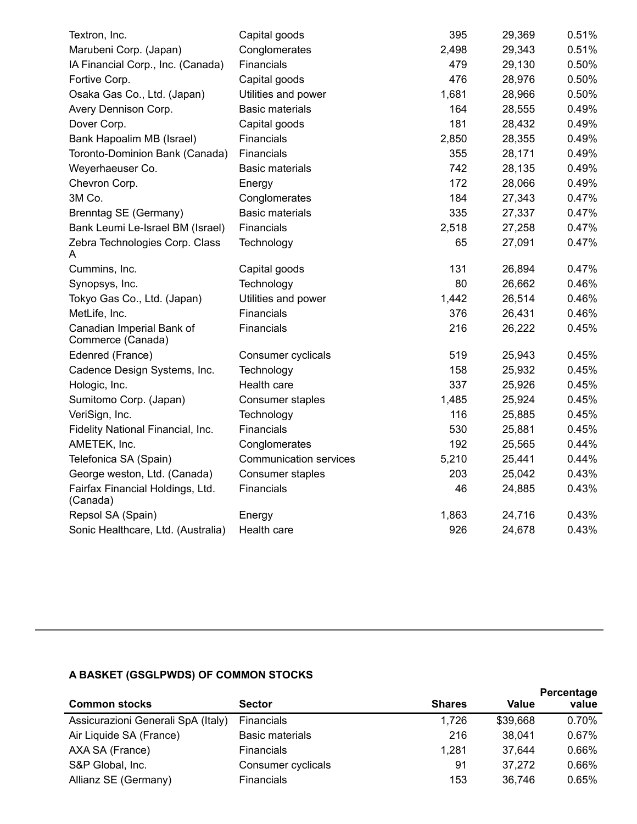| Textron, Inc.                                  | Capital goods                 | 395   | 29,369 | 0.51% |
|------------------------------------------------|-------------------------------|-------|--------|-------|
| Marubeni Corp. (Japan)                         | Conglomerates                 | 2,498 | 29,343 | 0.51% |
| IA Financial Corp., Inc. (Canada)              | Financials                    | 479   | 29,130 | 0.50% |
| Fortive Corp.                                  | Capital goods                 | 476   | 28,976 | 0.50% |
| Osaka Gas Co., Ltd. (Japan)                    | Utilities and power           | 1,681 | 28,966 | 0.50% |
| Avery Dennison Corp.                           | <b>Basic materials</b>        | 164   | 28,555 | 0.49% |
| Dover Corp.                                    | Capital goods                 | 181   | 28,432 | 0.49% |
| Bank Hapoalim MB (Israel)                      | Financials                    | 2,850 | 28,355 | 0.49% |
| Toronto-Dominion Bank (Canada)                 | Financials                    | 355   | 28,171 | 0.49% |
| Weyerhaeuser Co.                               | <b>Basic materials</b>        | 742   | 28,135 | 0.49% |
| Chevron Corp.                                  | Energy                        | 172   | 28,066 | 0.49% |
| 3M Co.                                         | Conglomerates                 | 184   | 27,343 | 0.47% |
| Brenntag SE (Germany)                          | <b>Basic materials</b>        | 335   | 27,337 | 0.47% |
| Bank Leumi Le-Israel BM (Israel)               | Financials                    | 2,518 | 27,258 | 0.47% |
| Zebra Technologies Corp. Class<br>A            | Technology                    | 65    | 27,091 | 0.47% |
| Cummins, Inc.                                  | Capital goods                 | 131   | 26,894 | 0.47% |
| Synopsys, Inc.                                 | Technology                    | 80    | 26,662 | 0.46% |
| Tokyo Gas Co., Ltd. (Japan)                    | Utilities and power           | 1,442 | 26,514 | 0.46% |
| MetLife, Inc.                                  | Financials                    | 376   | 26,431 | 0.46% |
| Canadian Imperial Bank of<br>Commerce (Canada) | Financials                    | 216   | 26,222 | 0.45% |
| Edenred (France)                               | Consumer cyclicals            | 519   | 25,943 | 0.45% |
| Cadence Design Systems, Inc.                   | Technology                    | 158   | 25,932 | 0.45% |
| Hologic, Inc.                                  | Health care                   | 337   | 25,926 | 0.45% |
| Sumitomo Corp. (Japan)                         | Consumer staples              | 1,485 | 25,924 | 0.45% |
| VeriSign, Inc.                                 | Technology                    | 116   | 25,885 | 0.45% |
| Fidelity National Financial, Inc.              | Financials                    | 530   | 25,881 | 0.45% |
| AMETEK, Inc.                                   | Conglomerates                 | 192   | 25,565 | 0.44% |
| Telefonica SA (Spain)                          | <b>Communication services</b> | 5,210 | 25,441 | 0.44% |
| George weston, Ltd. (Canada)                   | Consumer staples              | 203   | 25,042 | 0.43% |
| Fairfax Financial Holdings, Ltd.<br>(Canada)   | Financials                    | 46    | 24,885 | 0.43% |
| Repsol SA (Spain)                              | Energy                        | 1,863 | 24,716 | 0.43% |
| Sonic Healthcare, Ltd. (Australia)             | Health care                   | 926   | 24,678 | 0.43% |

### **A BASKET (GSGLPWDS) OF COMMON STOCKS**

|                                    |                    |               |          | Percentage |
|------------------------------------|--------------------|---------------|----------|------------|
| <b>Common stocks</b>               | <b>Sector</b>      | <b>Shares</b> | Value    | value      |
| Assicurazioni Generali SpA (Italy) | <b>Financials</b>  | 1,726         | \$39,668 | 0.70%      |
| Air Liquide SA (France)            | Basic materials    | 216           | 38.041   | 0.67%      |
| AXA SA (France)                    | <b>Financials</b>  | 1,281         | 37,644   | 0.66%      |
| S&P Global, Inc.                   | Consumer cyclicals | 91            | 37,272   | 0.66%      |
| Allianz SE (Germany)               | <b>Financials</b>  | 153           | 36,746   | 0.65%      |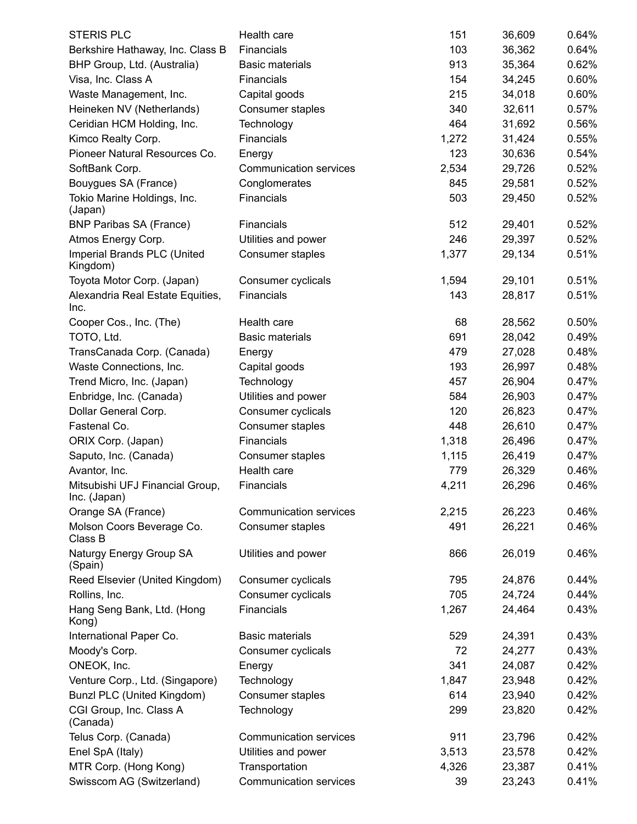| <b>STERIS PLC</b>                               | Health care                   | 151   | 36,609 | 0.64% |
|-------------------------------------------------|-------------------------------|-------|--------|-------|
| Berkshire Hathaway, Inc. Class B                | Financials                    | 103   | 36,362 | 0.64% |
| BHP Group, Ltd. (Australia)                     | <b>Basic materials</b>        | 913   | 35,364 | 0.62% |
| Visa, Inc. Class A                              | Financials                    | 154   | 34,245 | 0.60% |
| Waste Management, Inc.                          | Capital goods                 | 215   | 34,018 | 0.60% |
| Heineken NV (Netherlands)                       | Consumer staples              | 340   | 32,611 | 0.57% |
| Ceridian HCM Holding, Inc.                      | Technology                    | 464   | 31,692 | 0.56% |
| Kimco Realty Corp.                              | Financials                    | 1,272 | 31,424 | 0.55% |
| Pioneer Natural Resources Co.                   | Energy                        | 123   | 30,636 | 0.54% |
| SoftBank Corp.                                  | Communication services        | 2,534 | 29,726 | 0.52% |
| Bouygues SA (France)                            | Conglomerates                 | 845   | 29,581 | 0.52% |
| Tokio Marine Holdings, Inc.<br>(Japan)          | Financials                    | 503   | 29,450 | 0.52% |
| <b>BNP Paribas SA (France)</b>                  | Financials                    | 512   | 29,401 | 0.52% |
| Atmos Energy Corp.                              | Utilities and power           | 246   | 29,397 | 0.52% |
| Imperial Brands PLC (United<br>Kingdom)         | Consumer staples              | 1,377 | 29,134 | 0.51% |
| Toyota Motor Corp. (Japan)                      | Consumer cyclicals            | 1,594 | 29,101 | 0.51% |
| Alexandria Real Estate Equities,<br>Inc.        | Financials                    | 143   | 28,817 | 0.51% |
| Cooper Cos., Inc. (The)                         | Health care                   | 68    | 28,562 | 0.50% |
| TOTO, Ltd.                                      | <b>Basic materials</b>        | 691   | 28,042 | 0.49% |
| TransCanada Corp. (Canada)                      | Energy                        | 479   | 27,028 | 0.48% |
| Waste Connections, Inc.                         | Capital goods                 | 193   | 26,997 | 0.48% |
| Trend Micro, Inc. (Japan)                       | Technology                    | 457   | 26,904 | 0.47% |
| Enbridge, Inc. (Canada)                         | Utilities and power           | 584   | 26,903 | 0.47% |
| Dollar General Corp.                            | Consumer cyclicals            | 120   | 26,823 | 0.47% |
| Fastenal Co.                                    | Consumer staples              | 448   | 26,610 | 0.47% |
| ORIX Corp. (Japan)                              | Financials                    | 1,318 | 26,496 | 0.47% |
| Saputo, Inc. (Canada)                           | Consumer staples              | 1,115 | 26,419 | 0.47% |
| Avantor, Inc.                                   | Health care                   | 779   | 26,329 | 0.46% |
| Mitsubishi UFJ Financial Group,<br>Inc. (Japan) | Financials                    | 4,211 | 26,296 | 0.46% |
| Orange SA (France)                              | Communication services        | 2,215 | 26,223 | 0.46% |
| Molson Coors Beverage Co.<br>Class B            | Consumer staples              | 491   | 26,221 | 0.46% |
| Naturgy Energy Group SA<br>(Spain)              | Utilities and power           | 866   | 26,019 | 0.46% |
| Reed Elsevier (United Kingdom)                  | Consumer cyclicals            | 795   | 24,876 | 0.44% |
| Rollins, Inc.                                   | Consumer cyclicals            | 705   | 24,724 | 0.44% |
| Hang Seng Bank, Ltd. (Hong<br>Kong)             | Financials                    | 1,267 | 24,464 | 0.43% |
| International Paper Co.                         | <b>Basic materials</b>        | 529   | 24,391 | 0.43% |
| Moody's Corp.                                   | Consumer cyclicals            | 72    | 24,277 | 0.43% |
| ONEOK, Inc.                                     | Energy                        | 341   | 24,087 | 0.42% |
| Venture Corp., Ltd. (Singapore)                 | Technology                    | 1,847 | 23,948 | 0.42% |
| Bunzl PLC (United Kingdom)                      | Consumer staples              | 614   | 23,940 | 0.42% |
| CGI Group, Inc. Class A<br>(Canada)             | Technology                    | 299   | 23,820 | 0.42% |
| Telus Corp. (Canada)                            | <b>Communication services</b> | 911   | 23,796 | 0.42% |
| Enel SpA (Italy)                                | Utilities and power           | 3,513 | 23,578 | 0.42% |
| MTR Corp. (Hong Kong)                           | Transportation                | 4,326 | 23,387 | 0.41% |
| Swisscom AG (Switzerland)                       | Communication services        | 39    | 23,243 | 0.41% |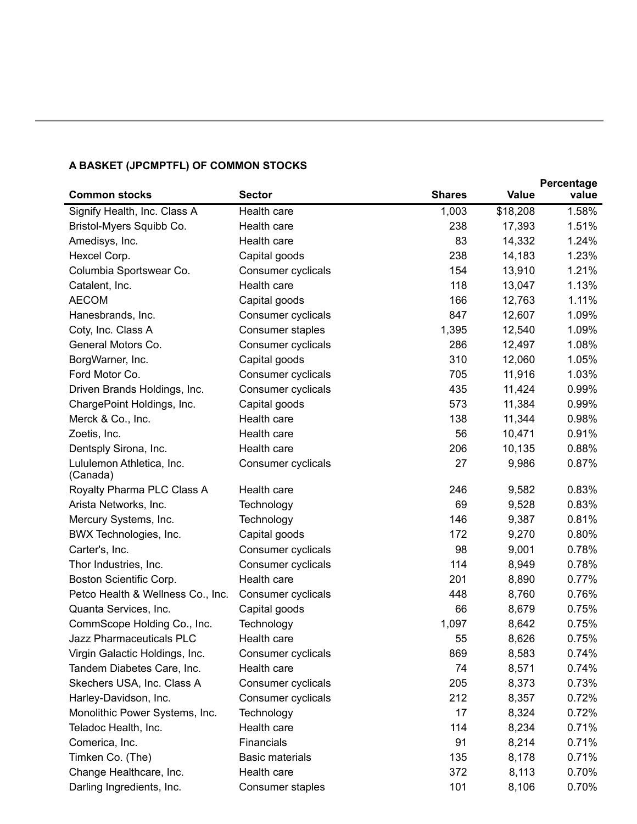### **A BASKET (JPCMPTFL) OF COMMON STOCKS**

|                                       |                        |               |          | Percentage |
|---------------------------------------|------------------------|---------------|----------|------------|
| <b>Common stocks</b>                  | <b>Sector</b>          | <b>Shares</b> | Value    | value      |
| Signify Health, Inc. Class A          | Health care            | 1,003         | \$18,208 | 1.58%      |
| Bristol-Myers Squibb Co.              | Health care            | 238           | 17,393   | 1.51%      |
| Amedisys, Inc.                        | Health care            | 83            | 14,332   | 1.24%      |
| Hexcel Corp.                          | Capital goods          | 238           | 14,183   | 1.23%      |
| Columbia Sportswear Co.               | Consumer cyclicals     | 154           | 13,910   | 1.21%      |
| Catalent, Inc.                        | Health care            | 118           | 13,047   | 1.13%      |
| <b>AECOM</b>                          | Capital goods          | 166           | 12,763   | 1.11%      |
| Hanesbrands, Inc.                     | Consumer cyclicals     | 847           | 12,607   | 1.09%      |
| Coty, Inc. Class A                    | Consumer staples       | 1,395         | 12,540   | 1.09%      |
| General Motors Co.                    | Consumer cyclicals     | 286           | 12,497   | 1.08%      |
| BorgWarner, Inc.                      | Capital goods          | 310           | 12,060   | 1.05%      |
| Ford Motor Co.                        | Consumer cyclicals     | 705           | 11,916   | 1.03%      |
| Driven Brands Holdings, Inc.          | Consumer cyclicals     | 435           | 11,424   | 0.99%      |
| ChargePoint Holdings, Inc.            | Capital goods          | 573           | 11,384   | 0.99%      |
| Merck & Co., Inc.                     | Health care            | 138           | 11,344   | 0.98%      |
| Zoetis, Inc.                          | Health care            | 56            | 10,471   | 0.91%      |
| Dentsply Sirona, Inc.                 | Health care            | 206           | 10,135   | 0.88%      |
| Lululemon Athletica, Inc.<br>(Canada) | Consumer cyclicals     | 27            | 9,986    | 0.87%      |
| Royalty Pharma PLC Class A            | Health care            | 246           | 9,582    | 0.83%      |
| Arista Networks, Inc.                 | Technology             | 69            | 9,528    | 0.83%      |
| Mercury Systems, Inc.                 | Technology             | 146           | 9,387    | 0.81%      |
| BWX Technologies, Inc.                | Capital goods          | 172           | 9,270    | 0.80%      |
| Carter's, Inc.                        | Consumer cyclicals     | 98            | 9,001    | 0.78%      |
| Thor Industries, Inc.                 | Consumer cyclicals     | 114           | 8,949    | 0.78%      |
| Boston Scientific Corp.               | Health care            | 201           | 8,890    | 0.77%      |
| Petco Health & Wellness Co., Inc.     | Consumer cyclicals     | 448           | 8,760    | 0.76%      |
| Quanta Services, Inc.                 | Capital goods          | 66            | 8,679    | 0.75%      |
| CommScope Holding Co., Inc.           | Technology             | 1,097         | 8,642    | 0.75%      |
| Jazz Pharmaceuticals PLC              | Health care            | 55            | 8,626    | 0.75%      |
| Virgin Galactic Holdings, Inc.        | Consumer cyclicals     | 869           | 8,583    | 0.74%      |
| Tandem Diabetes Care, Inc.            | Health care            | 74            | 8,571    | 0.74%      |
| Skechers USA, Inc. Class A            | Consumer cyclicals     | 205           | 8,373    | 0.73%      |
| Harley-Davidson, Inc.                 | Consumer cyclicals     | 212           | 8,357    | 0.72%      |
| Monolithic Power Systems, Inc.        | Technology             | 17            | 8,324    | 0.72%      |
| Teladoc Health, Inc.                  | Health care            | 114           | 8,234    | 0.71%      |
| Comerica, Inc.                        | Financials             | 91            | 8,214    | 0.71%      |
| Timken Co. (The)                      | <b>Basic materials</b> | 135           | 8,178    | 0.71%      |
| Change Healthcare, Inc.               | Health care            | 372           | 8,113    | 0.70%      |
| Darling Ingredients, Inc.             | Consumer staples       | 101           | 8,106    | 0.70%      |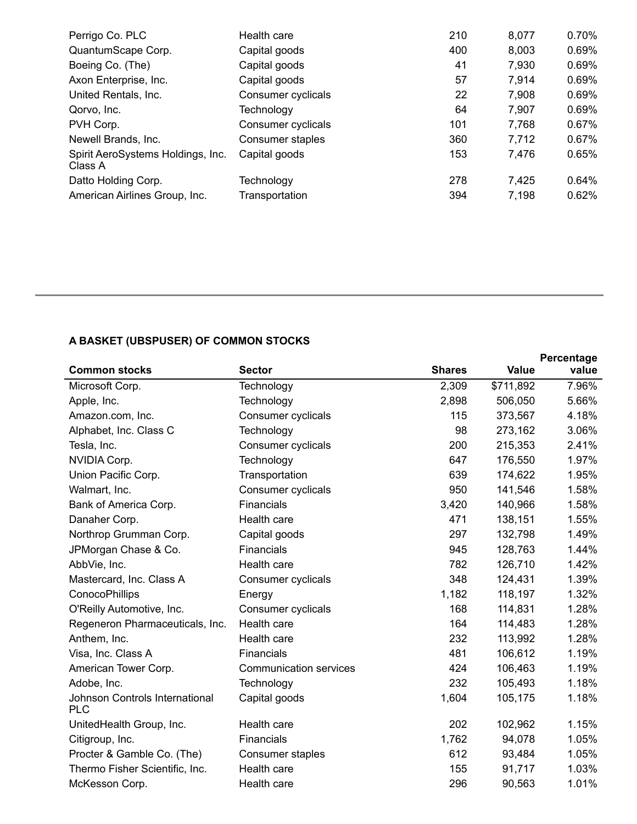| Perrigo Co. PLC                              | Health care        | 210 | 8,077 | 0.70% |
|----------------------------------------------|--------------------|-----|-------|-------|
| QuantumScape Corp.                           | Capital goods      | 400 | 8,003 | 0.69% |
| Boeing Co. (The)                             | Capital goods      | 41  | 7,930 | 0.69% |
| Axon Enterprise, Inc.                        | Capital goods      | 57  | 7,914 | 0.69% |
| United Rentals, Inc.                         | Consumer cyclicals | 22  | 7,908 | 0.69% |
| Qorvo, Inc.                                  | Technology         | 64  | 7,907 | 0.69% |
| PVH Corp.                                    | Consumer cyclicals | 101 | 7,768 | 0.67% |
| Newell Brands, Inc.                          | Consumer staples   | 360 | 7,712 | 0.67% |
| Spirit AeroSystems Holdings, Inc.<br>Class A | Capital goods      | 153 | 7,476 | 0.65% |
| Datto Holding Corp.                          | Technology         | 278 | 7,425 | 0.64% |
| American Airlines Group, Inc.                | Transportation     | 394 | 7,198 | 0.62% |

## **A BASKET (UBSPUSER) OF COMMON STOCKS**

|                                              |                               |               |           | Percentage |
|----------------------------------------------|-------------------------------|---------------|-----------|------------|
| <b>Common stocks</b>                         | <b>Sector</b>                 | <b>Shares</b> | Value     | value      |
| Microsoft Corp.                              | Technology                    | 2,309         | \$711,892 | 7.96%      |
| Apple, Inc.                                  | Technology                    | 2,898         | 506,050   | 5.66%      |
| Amazon.com, Inc.                             | Consumer cyclicals            | 115           | 373,567   | 4.18%      |
| Alphabet, Inc. Class C                       | Technology                    | 98            | 273,162   | 3.06%      |
| Tesla, Inc.                                  | Consumer cyclicals            | 200           | 215,353   | 2.41%      |
| NVIDIA Corp.                                 | Technology                    | 647           | 176,550   | 1.97%      |
| Union Pacific Corp.                          | Transportation                | 639           | 174,622   | 1.95%      |
| Walmart, Inc.                                | Consumer cyclicals            | 950           | 141,546   | 1.58%      |
| Bank of America Corp.                        | Financials                    | 3,420         | 140,966   | 1.58%      |
| Danaher Corp.                                | Health care                   | 471           | 138,151   | 1.55%      |
| Northrop Grumman Corp.                       | Capital goods                 | 297           | 132,798   | 1.49%      |
| JPMorgan Chase & Co.                         | Financials                    | 945           | 128,763   | 1.44%      |
| AbbVie, Inc.                                 | Health care                   | 782           | 126,710   | 1.42%      |
| Mastercard, Inc. Class A                     | Consumer cyclicals            | 348           | 124,431   | 1.39%      |
| ConocoPhillips                               | Energy                        | 1,182         | 118,197   | 1.32%      |
| O'Reilly Automotive, Inc.                    | Consumer cyclicals            | 168           | 114,831   | 1.28%      |
| Regeneron Pharmaceuticals, Inc.              | Health care                   | 164           | 114,483   | 1.28%      |
| Anthem, Inc.                                 | Health care                   | 232           | 113,992   | 1.28%      |
| Visa, Inc. Class A                           | Financials                    | 481           | 106,612   | 1.19%      |
| American Tower Corp.                         | <b>Communication services</b> | 424           | 106,463   | 1.19%      |
| Adobe, Inc.                                  | Technology                    | 232           | 105,493   | 1.18%      |
| Johnson Controls International<br><b>PLC</b> | Capital goods                 | 1,604         | 105,175   | 1.18%      |
| UnitedHealth Group, Inc.                     | Health care                   | 202           | 102,962   | 1.15%      |
| Citigroup, Inc.                              | Financials                    | 1,762         | 94,078    | 1.05%      |
| Procter & Gamble Co. (The)                   | Consumer staples              | 612           | 93,484    | 1.05%      |
| Thermo Fisher Scientific, Inc.               | Health care                   | 155           | 91,717    | 1.03%      |
| McKesson Corp.                               | Health care                   | 296           | 90,563    | 1.01%      |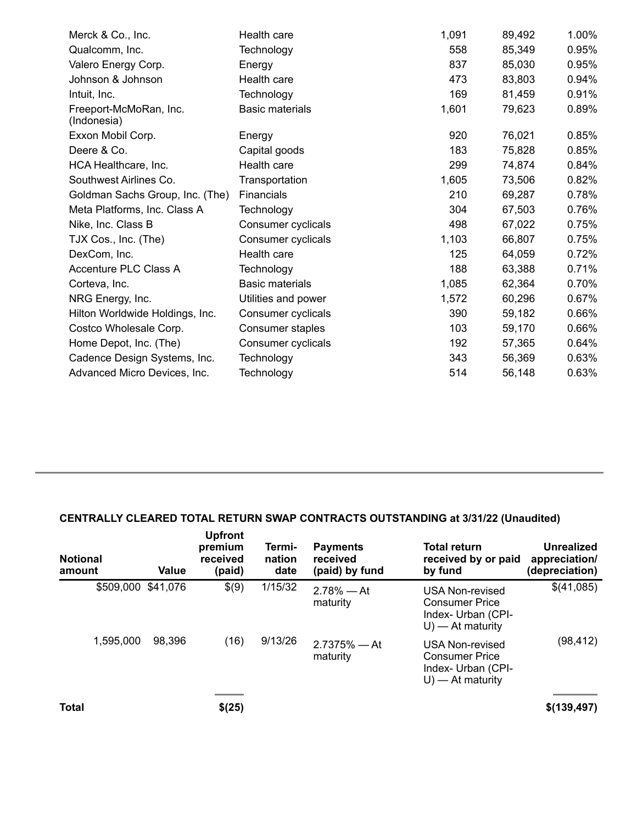| Merck & Co., Inc.                     | Health care            | 1,091 | 89,492 | 1.00% |
|---------------------------------------|------------------------|-------|--------|-------|
| Qualcomm, Inc.                        | Technology             | 558   | 85,349 | 0.95% |
| Valero Energy Corp.                   | Energy                 | 837   | 85,030 | 0.95% |
| Johnson & Johnson                     | Health care            | 473   | 83,803 | 0.94% |
| Intuit, Inc.                          | Technology             | 169   | 81,459 | 0.91% |
| Freeport-McMoRan, Inc.<br>(Indonesia) | <b>Basic materials</b> | 1,601 | 79,623 | 0.89% |
| Exxon Mobil Corp.                     | Energy                 | 920   | 76,021 | 0.85% |
| Deere & Co.                           | Capital goods          | 183   | 75,828 | 0.85% |
| HCA Healthcare, Inc.                  | Health care            | 299   | 74,874 | 0.84% |
| Southwest Airlines Co.                | Transportation         | 1,605 | 73,506 | 0.82% |
| Goldman Sachs Group, Inc. (The)       | <b>Financials</b>      | 210   | 69,287 | 0.78% |
| Meta Platforms, Inc. Class A          | Technology             | 304   | 67,503 | 0.76% |
| Nike, Inc. Class B                    | Consumer cyclicals     | 498   | 67,022 | 0.75% |
| TJX Cos., Inc. (The)                  | Consumer cyclicals     | 1,103 | 66,807 | 0.75% |
| DexCom, Inc.                          | Health care            | 125   | 64,059 | 0.72% |
| Accenture PLC Class A                 | Technology             | 188   | 63,388 | 0.71% |
| Corteva, Inc.                         | <b>Basic materials</b> | 1,085 | 62,364 | 0.70% |
| NRG Energy, Inc.                      | Utilities and power    | 1,572 | 60,296 | 0.67% |
| Hilton Worldwide Holdings, Inc.       | Consumer cyclicals     | 390   | 59,182 | 0.66% |
| Costco Wholesale Corp.                | Consumer staples       | 103   | 59,170 | 0.66% |
| Home Depot, Inc. (The)                | Consumer cyclicals     | 192   | 57,365 | 0.64% |
| Cadence Design Systems, Inc.          | Technology             | 343   | 56,369 | 0.63% |
| Advanced Micro Devices, Inc.          | Technology             | 514   | 56,148 | 0.63% |

## **CENTRALLY CLEARED TOTAL RETURN SWAP CONTRACTS OUTSTANDING at 3/31/22 (Unaudited)**

| <b>Notional</b><br>amount | Value              | <b>Upfront</b><br>premium<br>received<br>(paid) | Termi-<br>nation<br>date | <b>Payments</b><br>received<br>(paid) by fund | <b>Total return</b><br>received by or paid<br>by fund                                 | Unrealized<br>appreciation/<br>(depreciation) |
|---------------------------|--------------------|-------------------------------------------------|--------------------------|-----------------------------------------------|---------------------------------------------------------------------------------------|-----------------------------------------------|
|                           | \$509,000 \$41,076 | \$(9)                                           | 1/15/32                  | $2.78\% - At$<br>maturity                     | USA Non-revised<br><b>Consumer Price</b><br>Index- Urban (CPI-<br>$U$ ) — At maturity | \$(41,085)                                    |
| 1,595,000                 | 98,396             | (16)                                            | 9/13/26                  | $2.7375%$ - At<br>maturity                    | USA Non-revised<br><b>Consumer Price</b><br>Index- Urban (CPI-<br>$U$ ) — At maturity | (98, 412)                                     |
| <b>Total</b>              |                    | \$(25)                                          |                          |                                               |                                                                                       | \$(139,497)                                   |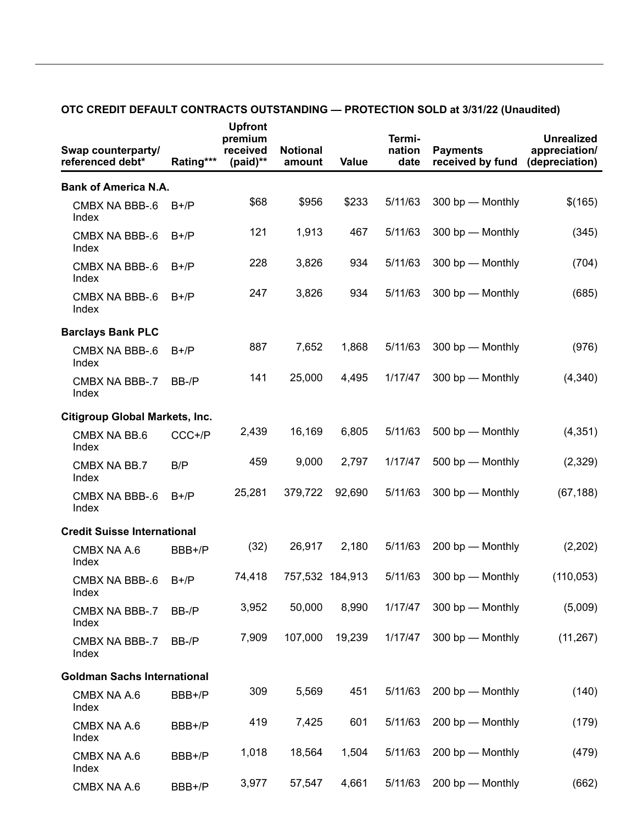| Swap counterparty/<br>referenced debt* | Rating*** | <b>Upfront</b><br>premium<br>received<br>(paid)** | <b>Notional</b><br>amount | Value  | Termi-<br>nation<br>date | <b>Payments</b><br>received by fund | <b>Unrealized</b><br>appreciation/<br>(depreciation) |
|----------------------------------------|-----------|---------------------------------------------------|---------------------------|--------|--------------------------|-------------------------------------|------------------------------------------------------|
| <b>Bank of America N.A.</b>            |           |                                                   |                           |        |                          |                                     |                                                      |
| CMBX NA BBB-.6<br>Index                | $B+/P$    | \$68                                              | \$956                     | \$233  | 5/11/63                  | 300 bp - Monthly                    | \$(165)                                              |
| CMBX NA BBB-.6<br>Index                | $B+/P$    | 121                                               | 1,913                     | 467    | 5/11/63                  | 300 bp - Monthly                    | (345)                                                |
| CMBX NA BBB-.6<br>Index                | $B+/P$    | 228                                               | 3,826                     | 934    | 5/11/63                  | 300 bp - Monthly                    | (704)                                                |
| CMBX NA BBB-.6<br>Index                | $B+/P$    | 247                                               | 3,826                     | 934    | 5/11/63                  | 300 bp - Monthly                    | (685)                                                |
| <b>Barclays Bank PLC</b>               |           |                                                   |                           |        |                          |                                     |                                                      |
| CMBX NA BBB-.6<br>Index                | $B+/P$    | 887                                               | 7,652                     | 1,868  | 5/11/63                  | 300 bp - Monthly                    | (976)                                                |
| CMBX NA BBB-.7<br>Index                | BB-/P     | 141                                               | 25,000                    | 4,495  | 1/17/47                  | 300 bp - Monthly                    | (4, 340)                                             |
| <b>Citigroup Global Markets, Inc.</b>  |           |                                                   |                           |        |                          |                                     |                                                      |
| CMBX NA BB.6<br>Index                  | CCC+/P    | 2,439                                             | 16,169                    | 6,805  | 5/11/63                  | 500 bp - Monthly                    | (4, 351)                                             |
| CMBX NA BB.7<br>Index                  | B/P       | 459                                               | 9,000                     | 2,797  | 1/17/47                  | 500 bp - Monthly                    | (2,329)                                              |
| CMBX NA BBB-.6<br>Index                | $B+/P$    | 25,281                                            | 379,722                   | 92,690 | 5/11/63                  | 300 bp - Monthly                    | (67, 188)                                            |
| <b>Credit Suisse International</b>     |           |                                                   |                           |        |                          |                                     |                                                      |
| CMBX NA A.6<br>Index                   | BBB+/P    | (32)                                              | 26,917                    | 2,180  | 5/11/63                  | 200 bp - Monthly                    | (2,202)                                              |
| CMBX NA BBB-.6<br>Index                | $B+/P$    | 74,418                                            | 757,532 184,913           |        | 5/11/63                  | 300 bp - Monthly                    | (110, 053)                                           |
| CMBX NA BBB-.7<br>Index                | BB-/P     | 3,952                                             | 50,000                    | 8,990  | 1/17/47                  | 300 bp - Monthly                    | (5,009)                                              |
| CMBX NA BBB-.7<br>Index                | BB-/P     | 7,909                                             | 107,000                   | 19,239 | 1/17/47                  | 300 bp - Monthly                    | (11, 267)                                            |
| <b>Goldman Sachs International</b>     |           |                                                   |                           |        |                          |                                     |                                                      |
| CMBX NA A.6<br>Index                   | BBB+/P    | 309                                               | 5,569                     | 451    | 5/11/63                  | 200 bp - Monthly                    | (140)                                                |
| CMBX NA A.6<br>Index                   | BBB+/P    | 419                                               | 7,425                     | 601    | 5/11/63                  | 200 bp - Monthly                    | (179)                                                |
| CMBX NA A.6<br>Index                   | BBB+/P    | 1,018                                             | 18,564                    | 1,504  | 5/11/63                  | 200 bp - Monthly                    | (479)                                                |
| CMBX NA A.6                            | BBB+/P    | 3,977                                             | 57,547                    | 4,661  | 5/11/63                  | 200 bp - Monthly                    | (662)                                                |

#### **OTC CREDIT DEFAULT CONTRACTS OUTSTANDING — PROTECTION SOLD at 3/31/22 (Unaudited)**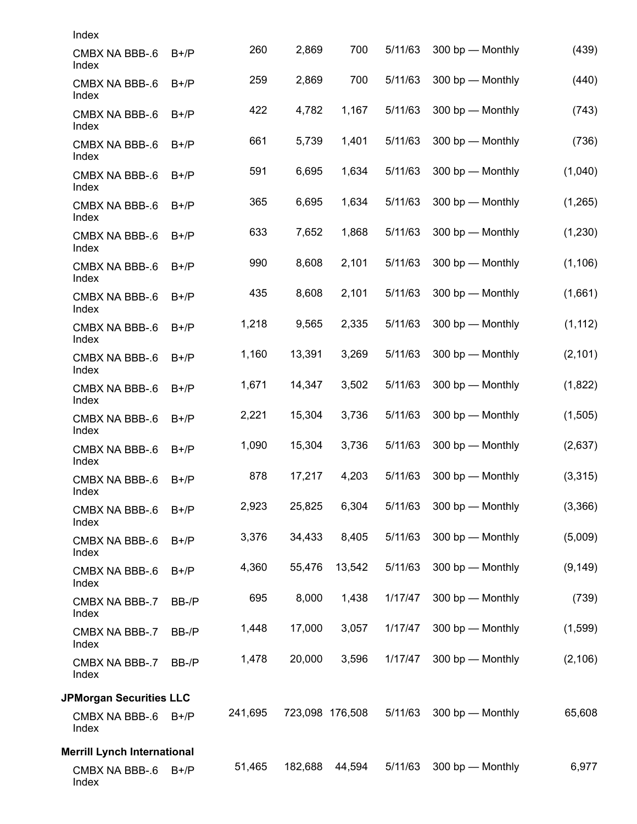| Index                              |        |         |         |                 |         |                  |          |
|------------------------------------|--------|---------|---------|-----------------|---------|------------------|----------|
| CMBX NA BBB-.6<br>Index            | $B+/P$ | 260     | 2,869   | 700             | 5/11/63 | 300 bp - Monthly | (439)    |
| CMBX NA BBB-.6<br>Index            | $B+/P$ | 259     | 2,869   | 700             | 5/11/63 | 300 bp - Monthly | (440)    |
| CMBX NA BBB-.6<br>Index            | $B+/P$ | 422     | 4,782   | 1,167           | 5/11/63 | 300 bp - Monthly | (743)    |
| CMBX NA BBB-.6<br>Index            | $B+/P$ | 661     | 5,739   | 1,401           | 5/11/63 | 300 bp - Monthly | (736)    |
| CMBX NA BBB-.6<br>Index            | $B+/P$ | 591     | 6,695   | 1,634           | 5/11/63 | 300 bp - Monthly | (1,040)  |
| CMBX NA BBB-.6<br>Index            | $B+/P$ | 365     | 6,695   | 1,634           | 5/11/63 | 300 bp - Monthly | (1,265)  |
| CMBX NA BBB-.6<br>Index            | $B+/P$ | 633     | 7,652   | 1,868           | 5/11/63 | 300 bp - Monthly | (1, 230) |
| CMBX NA BBB-.6<br>Index            | $B+/P$ | 990     | 8,608   | 2,101           | 5/11/63 | 300 bp - Monthly | (1, 106) |
| CMBX NA BBB-.6<br>Index            | $B+/P$ | 435     | 8,608   | 2,101           | 5/11/63 | 300 bp - Monthly | (1,661)  |
| CMBX NA BBB-.6<br>Index            | $B+/P$ | 1,218   | 9,565   | 2,335           | 5/11/63 | 300 bp - Monthly | (1, 112) |
| CMBX NA BBB-.6<br>Index            | $B+/P$ | 1,160   | 13,391  | 3,269           | 5/11/63 | 300 bp - Monthly | (2, 101) |
| CMBX NA BBB-.6<br>Index            | $B+/P$ | 1,671   | 14,347  | 3,502           | 5/11/63 | 300 bp - Monthly | (1,822)  |
| CMBX NA BBB-.6<br>Index            | $B+/P$ | 2,221   | 15,304  | 3,736           | 5/11/63 | 300 bp - Monthly | (1,505)  |
| CMBX NA BBB-.6<br>Index            | $B+/P$ | 1,090   | 15,304  | 3,736           | 5/11/63 | 300 bp - Monthly | (2,637)  |
| CMBX NA BBB-.6<br>Index            | $B+/P$ | 878     | 17,217  | 4,203           | 5/11/63 | 300 bp - Monthly | (3,315)  |
| CMBX NA BBB-.6<br>Index            | $B+/P$ | 2,923   | 25,825  | 6,304           | 5/11/63 | 300 bp - Monthly | (3,366)  |
| CMBX NA BBB-.6<br>Index            | $B+/P$ | 3,376   | 34,433  | 8,405           | 5/11/63 | 300 bp - Monthly | (5,009)  |
| CMBX NA BBB-.6<br>Index            | $B+/P$ | 4,360   | 55,476  | 13,542          | 5/11/63 | 300 bp - Monthly | (9, 149) |
| CMBX NA BBB-.7<br>Index            | BB-/P  | 695     | 8,000   | 1,438           | 1/17/47 | 300 bp - Monthly | (739)    |
| CMBX NA BBB-.7<br>Index            | BB-/P  | 1,448   | 17,000  | 3,057           | 1/17/47 | 300 bp - Monthly | (1,599)  |
| CMBX NA BBB-.7<br>Index            | BB-/P  | 1,478   | 20,000  | 3,596           | 1/17/47 | 300 bp - Monthly | (2, 106) |
| <b>JPMorgan Securities LLC</b>     |        |         |         |                 |         |                  |          |
| CMBX NA BBB-.6<br>Index            | $B+/P$ | 241,695 |         | 723,098 176,508 | 5/11/63 | 300 bp - Monthly | 65,608   |
| <b>Merrill Lynch International</b> |        |         |         |                 |         |                  |          |
| CMBX NA BBB-.6<br>Index            | $B+/P$ | 51,465  | 182,688 | 44,594          | 5/11/63 | 300 bp - Monthly | 6,977    |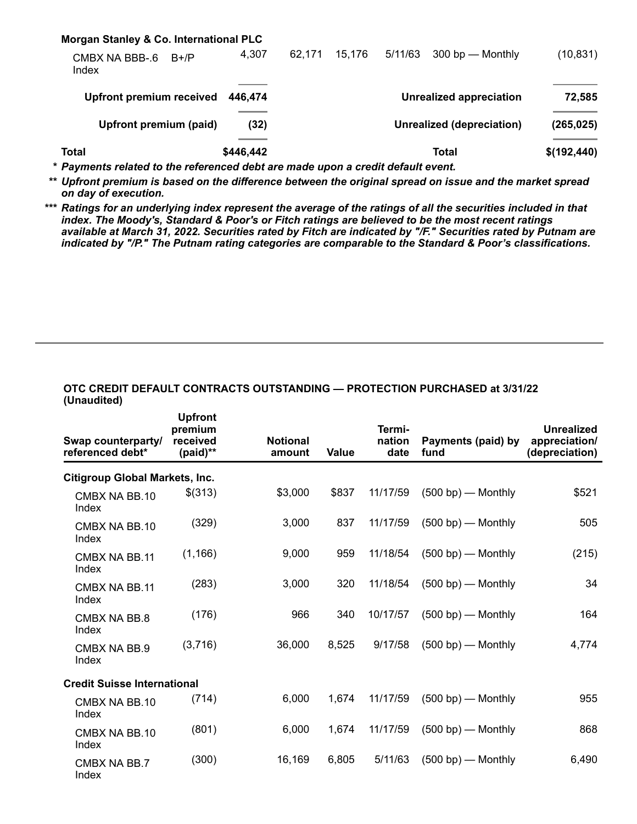| Morgan Stanley & Co. International PLC |           |        |                           |         |                                |             |
|----------------------------------------|-----------|--------|---------------------------|---------|--------------------------------|-------------|
| CMBX NA BBB-.6<br>$B+/P$<br>Index      | 4,307     | 62.171 | 15,176                    | 5/11/63 | 300 bp — Monthly               | (10, 831)   |
| <b>Upfront premium received</b>        | 446.474   |        |                           |         | <b>Unrealized appreciation</b> | 72,585      |
| Upfront premium (paid)                 | (32)      |        | Unrealized (depreciation) |         | (265, 025)                     |             |
| <b>Total</b>                           | \$446,442 |        |                           |         | Total                          | \$(192,440) |

*\* Payments related to the referenced debt are made upon a credit default event.*

\*\* Upfront premium is based on the difference between the original spread on issue and the market spread *on day of execution.*

\*\*\* Ratings for an underlying index represent the average of the ratings of all the securities included in that *index. The Moody's, Standard & Poor's or Fitch ratings are believed to be the most recent ratings* available at March 31, 2022. Securities rated by Fitch are indicated by "/F." Securities rated by Putnam are *indicated by "/P." The Putnam rating categories are comparable to the Standard & Poor's classifications.*

| Swap counterparty/<br>referenced debt* | <b>Upfront</b><br>premium<br>received<br>(paid)** | <b>Notional</b><br>amount | <b>Value</b> | Termi-<br>nation<br>date | Payments (paid) by<br>fund | <b>Unrealized</b><br>appreciation/<br>(depreciation) |
|----------------------------------------|---------------------------------------------------|---------------------------|--------------|--------------------------|----------------------------|------------------------------------------------------|
| <b>Citigroup Global Markets, Inc.</b>  |                                                   |                           |              |                          |                            |                                                      |
| CMBX NA BB.10<br>Index                 | \$(313)                                           | \$3,000                   | \$837        | 11/17/59                 | $(500 bp)$ - Monthly       | \$521                                                |
| CMBX NA BB.10<br>Index                 | (329)                                             | 3,000                     | 837          | 11/17/59                 | $(500 bp)$ — Monthly       | 505                                                  |
| CMBX NA BB.11<br>Index                 | (1, 166)                                          | 9,000                     | 959          | 11/18/54                 | $(500 bp)$ – Monthly       | (215)                                                |
| CMBX NA BB.11<br>Index                 | (283)                                             | 3,000                     | 320          | 11/18/54                 | $(500 bp)$ – Monthly       | 34                                                   |
| CMBX NA BB.8<br>Index                  | (176)                                             | 966                       | 340          | 10/17/57                 | $(500 bp)$ – Monthly       | 164                                                  |
| CMBX NA BB.9<br>Index                  | (3,716)                                           | 36,000                    | 8,525        | 9/17/58                  | $(500 bp)$ – Monthly       | 4,774                                                |
| <b>Credit Suisse International</b>     |                                                   |                           |              |                          |                            |                                                      |
| CMBX NA BB.10<br>Index                 | (714)                                             | 6,000                     | 1,674        | 11/17/59                 | $(500 bp)$ - Monthly       | 955                                                  |
| CMBX NA BB.10<br>Index                 | (801)                                             | 6,000                     | 1,674        | 11/17/59                 | $(500 bp)$ - Monthly       | 868                                                  |
| CMBX NA BB.7<br>Index                  | (300)                                             | 16,169                    | 6,805        | 5/11/63                  | $(500 bp)$ - Monthly       | 6,490                                                |

#### **OTC CREDIT DEFAULT CONTRACTS OUTSTANDING — PROTECTION PURCHASED at 3/31/22 (Unaudited)**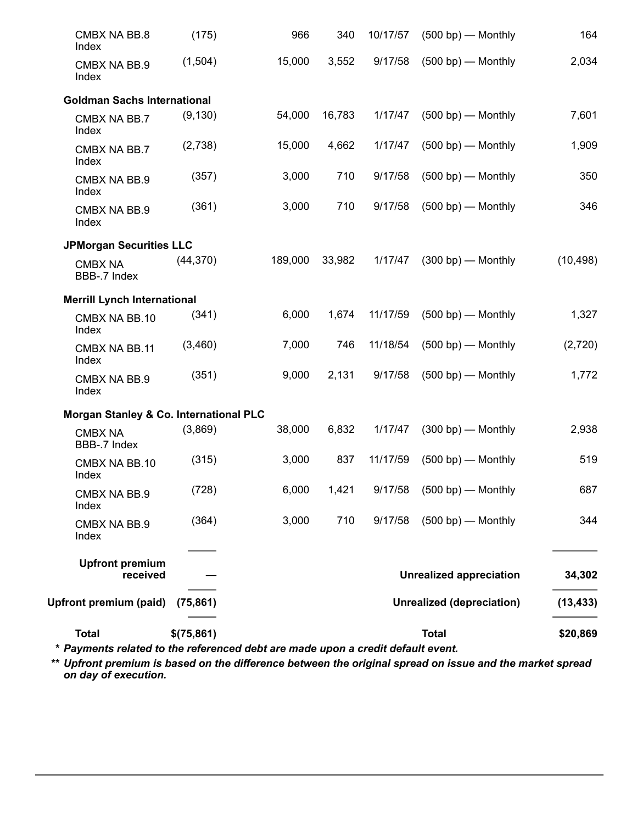| <b>Total</b>                           | \$(75,861) |         |        | <b>Total</b><br>* Payments related to the referenced debt are made upon a credit default event. |                                  |           |  |
|----------------------------------------|------------|---------|--------|-------------------------------------------------------------------------------------------------|----------------------------------|-----------|--|
| <b>Upfront premium (paid)</b>          | (75, 861)  |         |        |                                                                                                 | <b>Unrealized (depreciation)</b> | (13, 433) |  |
| <b>Upfront premium</b><br>received     |            |         |        |                                                                                                 | <b>Unrealized appreciation</b>   | 34,302    |  |
| CMBX NA BB.9<br>Index                  | (364)      | 3,000   | 710    | 9/17/58                                                                                         | $(500 bp)$ - Monthly             | 344       |  |
| CMBX NA BB.9<br>Index                  | (728)      | 6,000   | 1,421  |                                                                                                 | 9/17/58 (500 bp) — Monthly       | 687       |  |
| CMBX NA BB.10<br>Index                 | (315)      | 3,000   | 837    | 11/17/59                                                                                        | $(500 bp)$ - Monthly             | 519       |  |
| <b>CMBX NA</b><br>BBB-.7 Index         | (3,869)    | 38,000  | 6,832  | 1/17/47                                                                                         | $(300 bp)$ – Monthly             | 2,938     |  |
| Morgan Stanley & Co. International PLC |            |         |        |                                                                                                 |                                  |           |  |
| CMBX NA BB.9<br>Index                  | (351)      | 9,000   | 2,131  | 9/17/58                                                                                         | $(500 bp)$ - Monthly             | 1,772     |  |
| CMBX NA BB.11<br>Index                 | (3,460)    | 7,000   | 746    | 11/18/54                                                                                        | $(500 bp)$ - Monthly             | (2,720)   |  |
| CMBX NA BB.10<br>Index                 | (341)      | 6,000   | 1,674  | 11/17/59                                                                                        | $(500 bp)$ – Monthly             | 1,327     |  |
| <b>Merrill Lynch International</b>     |            |         |        |                                                                                                 |                                  |           |  |
| <b>CMBX NA</b><br>BBB-.7 Index         | (44, 370)  | 189,000 | 33,982 |                                                                                                 | $1/17/47$ (300 bp) — Monthly     | (10, 498) |  |
| <b>JPMorgan Securities LLC</b>         |            |         |        |                                                                                                 |                                  |           |  |
| CMBX NA BB.9<br>Index                  | (361)      | 3,000   | 710    | 9/17/58                                                                                         | $(500 bp)$ – Monthly             | 346       |  |
| CMBX NA BB.9<br>Index                  | (357)      | 3,000   | 710    | 9/17/58                                                                                         | $(500 bp)$ - Monthly             | 350       |  |
| CMBX NA BB.7<br>Index                  | (2,738)    | 15,000  | 4,662  | 1/17/47                                                                                         | $(500 bp)$ – Monthly             | 1,909     |  |
| CMBX NA BB.7<br>Index                  | (9, 130)   | 54,000  | 16,783 | 1/17/47                                                                                         | $(500 bp)$ – Monthly             | 7,601     |  |
| <b>Goldman Sachs International</b>     |            |         |        |                                                                                                 |                                  |           |  |
| CMBX NA BB.9<br>Index                  | (1,504)    | 15,000  | 3,552  | 9/17/58                                                                                         | $(500 bp)$ - Monthly             | 2,034     |  |
| CMBX NA BB.8<br>Index                  | (175)      | 966     | 340    |                                                                                                 | 10/17/57 (500 bp) — Monthly      | 164       |  |

\*\* Upfront premium is based on the difference between the original spread on issue and the market spread *on day of execution.*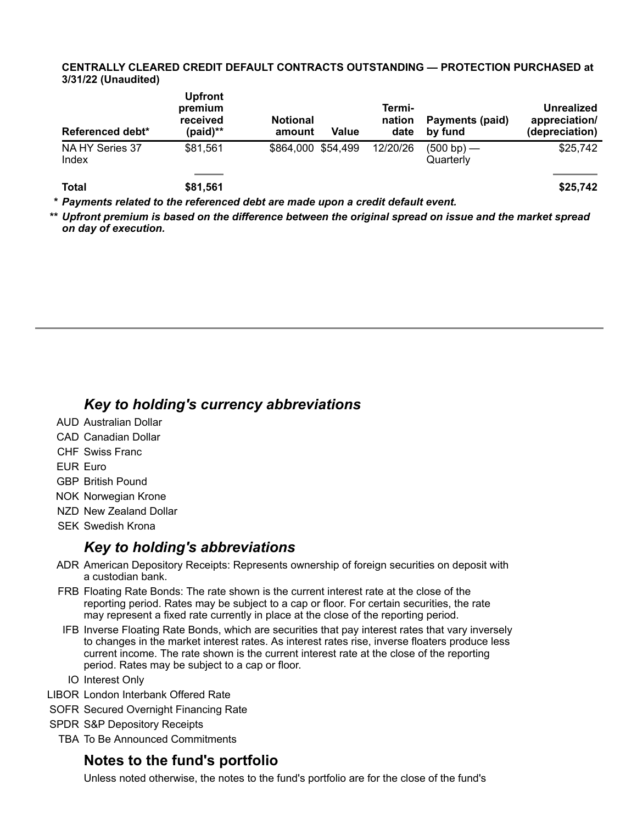#### **CENTRALLY CLEARED CREDIT DEFAULT CONTRACTS OUTSTANDING — PROTECTION PURCHASED at 3/31/22 (Unaudited)**

| Referenced debt*         | <b>Upfront</b><br>premium<br>received<br>(paid)** | <b>Notional</b><br>amount | Value | Termi-<br>nation<br>date | Payments (paid)<br>by fund | <b>Unrealized</b><br>appreciation/<br>(depreciation) |
|--------------------------|---------------------------------------------------|---------------------------|-------|--------------------------|----------------------------|------------------------------------------------------|
| NA HY Series 37<br>Index | \$81,561                                          | \$864,000 \$54,499        |       | 12/20/26                 | $(500 bp)$ —<br>Quarterly  | \$25,742                                             |
| <b>Total</b>             | \$81,561                                          |                           |       |                          |                            | \$25,742                                             |

*\* Payments related to the referenced debt are made upon a credit default event.*

Upfront premium is based on the difference between the original spread on issue and the market spread *on day of execution.*

## *Key to holding's currency abbreviations*

- AUD Australian Dollar
- CAD Canadian Dollar
- CHF Swiss Franc

EUR Euro

- GBP British Pound
- NOK Norwegian Krone
- NZD New Zealand Dollar
- SEK Swedish Krona

## *Key to holding's abbreviations*

- ADR American Depository Receipts: Represents ownership of foreign securities on deposit with a custodian bank.
- FRB Floating Rate Bonds: The rate shown is the current interest rate at the close of the reporting period. Rates may be subject to a cap or floor. For certain securities, the rate may represent a fixed rate currently in place at the close of the reporting period.
- IFB Inverse Floating Rate Bonds, which are securities that pay interest rates that vary inversely to changes in the market interest rates. As interest rates rise, inverse floaters produce less current income. The rate shown is the current interest rate at the close of the reporting period. Rates may be subject to a cap or floor.
- IO Interest Only
- LIBOR London Interbank Offered Rate
- SOFR Secured Overnight Financing Rate
- SPDR S&P Depository Receipts
	- TBA To Be Announced Commitments

## **Notes to the fund's portfolio**

Unless noted otherwise, the notes to the fund's portfolio are for the close of the fund's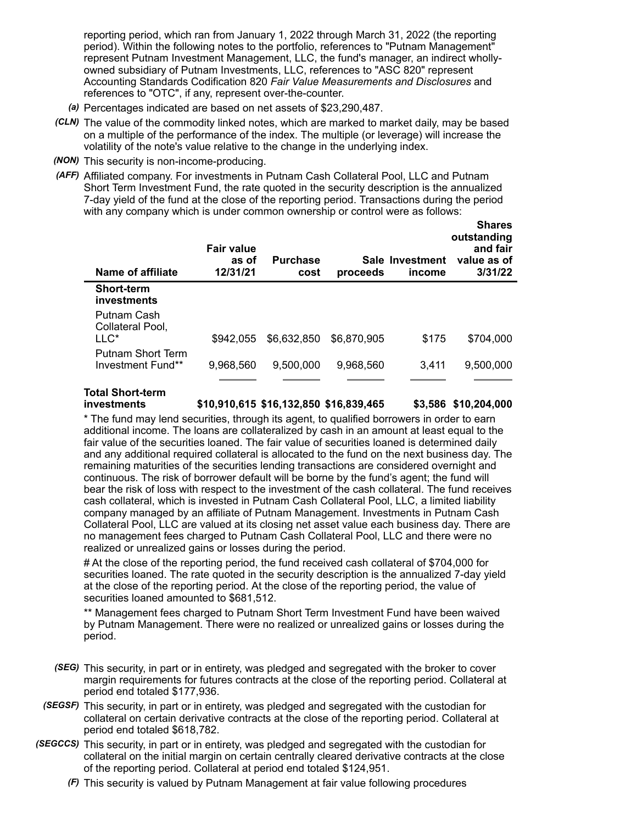reporting period, which ran from January 1, 2022 through March 31, 2022 (the reporting period). Within the following notes to the portfolio, references to "Putnam Management" represent Putnam Investment Management, LLC, the fund's manager, an indirect whollyowned subsidiary of Putnam Investments, LLC, references to "ASC 820" represent Accounting Standards Codification 820 *Fair Value Measurements and Disclosures* and references to "OTC", if any, represent over-the-counter.

- *(a)* Percentages indicated are based on net assets of \$23,290,487.
- *(CLN)* The value of the commodity linked notes, which are marked to market daily, may be based on a multiple of the performance of the index. The multiple (or leverage) will increase the volatility of the note's value relative to the change in the underlying index.
- *(NON)* This security is non-income-producing.
- *(AFF)* Affiliated company. For investments in Putnam Cash Collateral Pool, LLC and Putnam Short Term Investment Fund, the rate quoted in the security description is the annualized 7-day yield of the fund at the close of the reporting period. Transactions during the period with any company which is under common ownership or control were as follows:

| Name of affiliate                      | <b>Fair value</b><br>as of<br>12/31/21 | <b>Purchase</b><br>cost | proceeds    | Sale Investment<br>income | OHAI CS<br>outstanding<br>and fair<br>value as of<br>3/31/22 |
|----------------------------------------|----------------------------------------|-------------------------|-------------|---------------------------|--------------------------------------------------------------|
| <b>Short-term</b><br>investments       |                                        |                         |             |                           |                                                              |
| Putnam Cash<br>Collateral Pool,        |                                        |                         |             |                           |                                                              |
| $LLC^*$                                | \$942.055                              | \$6,632,850             | \$6,870,905 | \$175                     | \$704,000                                                    |
| Putnam Short Term<br>Investment Fund** | 9,968,560                              | 9,500,000               | 9,968,560   | 3.411                     | 9,500,000                                                    |
|                                        |                                        |                         |             |                           |                                                              |

## **Total Short-term**

**investments \$10,910,615 \$16,132,850 \$16,839,465 \$3,586 \$10,204,000**

**Shares**

\* The fund may lend securities, through its agent, to qualified borrowers in order to earn additional income. The loans are collateralized by cash in an amount at least equal to the fair value of the securities loaned. The fair value of securities loaned is determined daily and any additional required collateral is allocated to the fund on the next business day. The remaining maturities of the securities lending transactions are considered overnight and continuous. The risk of borrower default will be borne by the fund's agent; the fund will bear the risk of loss with respect to the investment of the cash collateral. The fund receives cash collateral, which is invested in Putnam Cash Collateral Pool, LLC, a limited liability company managed by an affiliate of Putnam Management. Investments in Putnam Cash Collateral Pool, LLC are valued at its closing net asset value each business day. There are no management fees charged to Putnam Cash Collateral Pool, LLC and there were no realized or unrealized gains or losses during the period.

# At the close of the reporting period, the fund received cash collateral of \$704,000 for securities loaned. The rate quoted in the security description is the annualized 7-day yield at the close of the reporting period. At the close of the reporting period, the value of securities loaned amounted to \$681,512.

\*\* Management fees charged to Putnam Short Term Investment Fund have been waived by Putnam Management. There were no realized or unrealized gains or losses during the period.

- *(SEG)* This security, in part or in entirety, was pledged and segregated with the broker to cover margin requirements for futures contracts at the close of the reporting period. Collateral at period end totaled \$177,936.
- *(SEGSF)* This security, in part or in entirety, was pledged and segregated with the custodian for collateral on certain derivative contracts at the close of the reporting period. Collateral at period end totaled \$618,782.
- *(SEGCCS)* This security, in part or in entirety, was pledged and segregated with the custodian for collateral on the initial margin on certain centrally cleared derivative contracts at the close of the reporting period. Collateral at period end totaled \$124,951.
	- *(F)* This security is valued by Putnam Management at fair value following procedures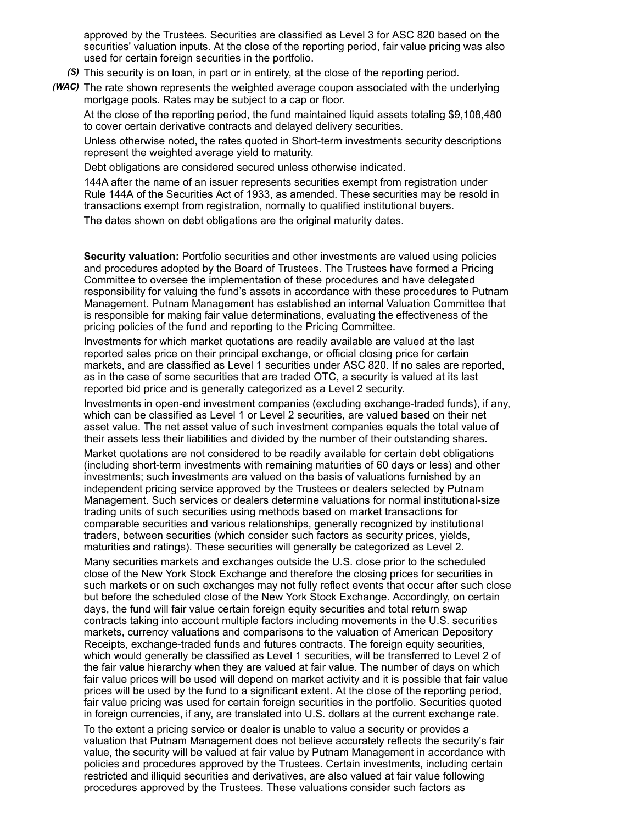approved by the Trustees. Securities are classified as Level 3 for ASC 820 based on the securities' valuation inputs. At the close of the reporting period, fair value pricing was also used for certain foreign securities in the portfolio.

- *(S)* This security is on loan, in part or in entirety, at the close of the reporting period.
- *(WAC)* The rate shown represents the weighted average coupon associated with the underlying mortgage pools. Rates may be subject to a cap or floor.

At the close of the reporting period, the fund maintained liquid assets totaling \$9,108,480 to cover certain derivative contracts and delayed delivery securities.

Unless otherwise noted, the rates quoted in Short-term investments security descriptions represent the weighted average yield to maturity.

Debt obligations are considered secured unless otherwise indicated.

144A after the name of an issuer represents securities exempt from registration under Rule 144A of the Securities Act of 1933, as amended. These securities may be resold in transactions exempt from registration, normally to qualified institutional buyers.

The dates shown on debt obligations are the original maturity dates.

**Security valuation:** Portfolio securities and other investments are valued using policies and procedures adopted by the Board of Trustees. The Trustees have formed a Pricing Committee to oversee the implementation of these procedures and have delegated responsibility for valuing the fund's assets in accordance with these procedures to Putnam Management. Putnam Management has established an internal Valuation Committee that is responsible for making fair value determinations, evaluating the effectiveness of the pricing policies of the fund and reporting to the Pricing Committee.

Investments for which market quotations are readily available are valued at the last reported sales price on their principal exchange, or official closing price for certain markets, and are classified as Level 1 securities under ASC 820. If no sales are reported, as in the case of some securities that are traded OTC, a security is valued at its last reported bid price and is generally categorized as a Level 2 security.

Investments in open-end investment companies (excluding exchange-traded funds), if any, which can be classified as Level 1 or Level 2 securities, are valued based on their net asset value. The net asset value of such investment companies equals the total value of their assets less their liabilities and divided by the number of their outstanding shares.

Market quotations are not considered to be readily available for certain debt obligations (including short-term investments with remaining maturities of 60 days or less) and other investments; such investments are valued on the basis of valuations furnished by an independent pricing service approved by the Trustees or dealers selected by Putnam Management. Such services or dealers determine valuations for normal institutional-size trading units of such securities using methods based on market transactions for comparable securities and various relationships, generally recognized by institutional traders, between securities (which consider such factors as security prices, yields, maturities and ratings). These securities will generally be categorized as Level 2.

Many securities markets and exchanges outside the U.S. close prior to the scheduled close of the New York Stock Exchange and therefore the closing prices for securities in such markets or on such exchanges may not fully reflect events that occur after such close but before the scheduled close of the New York Stock Exchange. Accordingly, on certain days, the fund will fair value certain foreign equity securities and total return swap contracts taking into account multiple factors including movements in the U.S. securities markets, currency valuations and comparisons to the valuation of American Depository Receipts, exchange-traded funds and futures contracts. The foreign equity securities, which would generally be classified as Level 1 securities, will be transferred to Level 2 of the fair value hierarchy when they are valued at fair value. The number of days on which fair value prices will be used will depend on market activity and it is possible that fair value prices will be used by the fund to a significant extent. At the close of the reporting period, fair value pricing was used for certain foreign securities in the portfolio. Securities quoted in foreign currencies, if any, are translated into U.S. dollars at the current exchange rate.

To the extent a pricing service or dealer is unable to value a security or provides a valuation that Putnam Management does not believe accurately reflects the security's fair value, the security will be valued at fair value by Putnam Management in accordance with policies and procedures approved by the Trustees. Certain investments, including certain restricted and illiquid securities and derivatives, are also valued at fair value following procedures approved by the Trustees. These valuations consider such factors as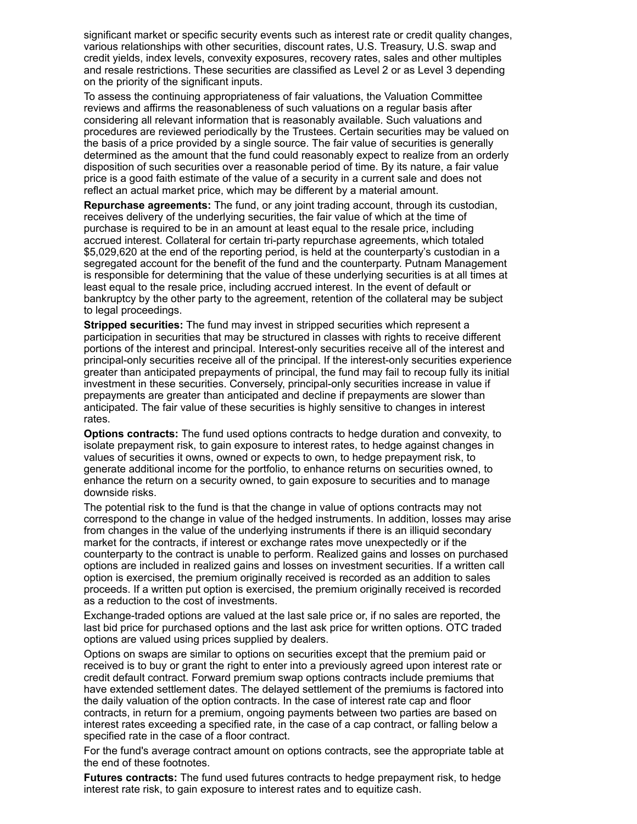significant market or specific security events such as interest rate or credit quality changes, various relationships with other securities, discount rates, U.S. Treasury, U.S. swap and credit yields, index levels, convexity exposures, recovery rates, sales and other multiples and resale restrictions. These securities are classified as Level 2 or as Level 3 depending on the priority of the significant inputs.

To assess the continuing appropriateness of fair valuations, the Valuation Committee reviews and affirms the reasonableness of such valuations on a regular basis after considering all relevant information that is reasonably available. Such valuations and procedures are reviewed periodically by the Trustees. Certain securities may be valued on the basis of a price provided by a single source. The fair value of securities is generally determined as the amount that the fund could reasonably expect to realize from an orderly disposition of such securities over a reasonable period of time. By its nature, a fair value price is a good faith estimate of the value of a security in a current sale and does not reflect an actual market price, which may be different by a material amount.

**Repurchase agreements:** The fund, or any joint trading account, through its custodian, receives delivery of the underlying securities, the fair value of which at the time of purchase is required to be in an amount at least equal to the resale price, including accrued interest. Collateral for certain tri-party repurchase agreements, which totaled \$5,029,620 at the end of the reporting period, is held at the counterparty's custodian in a segregated account for the benefit of the fund and the counterparty. Putnam Management is responsible for determining that the value of these underlying securities is at all times at least equal to the resale price, including accrued interest. In the event of default or bankruptcy by the other party to the agreement, retention of the collateral may be subject to legal proceedings.

**Stripped securities:** The fund may invest in stripped securities which represent a participation in securities that may be structured in classes with rights to receive different portions of the interest and principal. Interest-only securities receive all of the interest and principal-only securities receive all of the principal. If the interest-only securities experience greater than anticipated prepayments of principal, the fund may fail to recoup fully its initial investment in these securities. Conversely, principal-only securities increase in value if prepayments are greater than anticipated and decline if prepayments are slower than anticipated. The fair value of these securities is highly sensitive to changes in interest rates.

**Options contracts:** The fund used options contracts to hedge duration and convexity, to isolate prepayment risk, to gain exposure to interest rates, to hedge against changes in values of securities it owns, owned or expects to own, to hedge prepayment risk, to generate additional income for the portfolio, to enhance returns on securities owned, to enhance the return on a security owned, to gain exposure to securities and to manage downside risks.

The potential risk to the fund is that the change in value of options contracts may not correspond to the change in value of the hedged instruments. In addition, losses may arise from changes in the value of the underlying instruments if there is an illiquid secondary market for the contracts, if interest or exchange rates move unexpectedly or if the counterparty to the contract is unable to perform. Realized gains and losses on purchased options are included in realized gains and losses on investment securities. If a written call option is exercised, the premium originally received is recorded as an addition to sales proceeds. If a written put option is exercised, the premium originally received is recorded as a reduction to the cost of investments.

Exchange-traded options are valued at the last sale price or, if no sales are reported, the last bid price for purchased options and the last ask price for written options. OTC traded options are valued using prices supplied by dealers.

Options on swaps are similar to options on securities except that the premium paid or received is to buy or grant the right to enter into a previously agreed upon interest rate or credit default contract. Forward premium swap options contracts include premiums that have extended settlement dates. The delayed settlement of the premiums is factored into the daily valuation of the option contracts. In the case of interest rate cap and floor contracts, in return for a premium, ongoing payments between two parties are based on interest rates exceeding a specified rate, in the case of a cap contract, or falling below a specified rate in the case of a floor contract.

For the fund's average contract amount on options contracts, see the appropriate table at the end of these footnotes.

**Futures contracts:** The fund used futures contracts to hedge prepayment risk, to hedge interest rate risk, to gain exposure to interest rates and to equitize cash.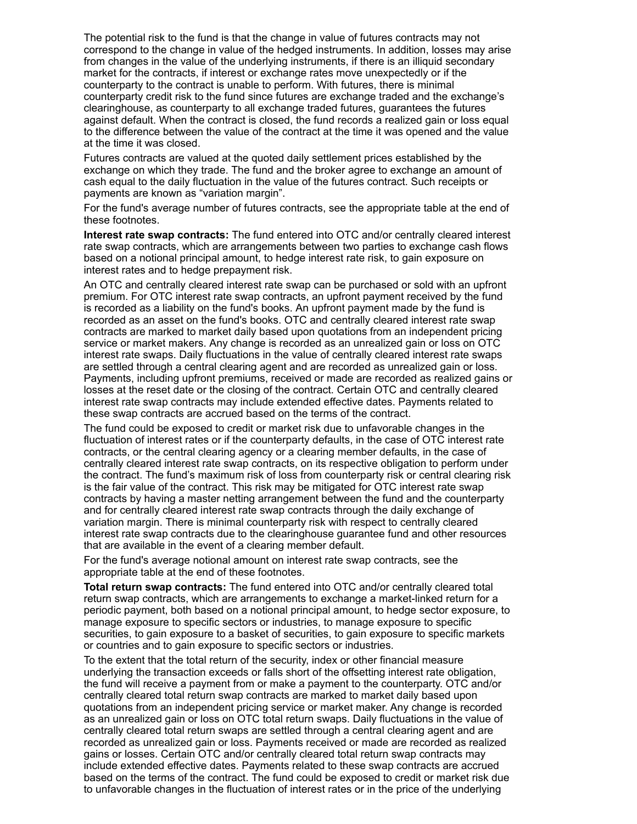The potential risk to the fund is that the change in value of futures contracts may not correspond to the change in value of the hedged instruments. In addition, losses may arise from changes in the value of the underlying instruments, if there is an illiquid secondary market for the contracts, if interest or exchange rates move unexpectedly or if the counterparty to the contract is unable to perform. With futures, there is minimal counterparty credit risk to the fund since futures are exchange traded and the exchange's clearinghouse, as counterparty to all exchange traded futures, guarantees the futures against default. When the contract is closed, the fund records a realized gain or loss equal to the difference between the value of the contract at the time it was opened and the value at the time it was closed.

Futures contracts are valued at the quoted daily settlement prices established by the exchange on which they trade. The fund and the broker agree to exchange an amount of cash equal to the daily fluctuation in the value of the futures contract. Such receipts or payments are known as "variation margin".

For the fund's average number of futures contracts, see the appropriate table at the end of these footnotes.

**Interest rate swap contracts:** The fund entered into OTC and/or centrally cleared interest rate swap contracts, which are arrangements between two parties to exchange cash flows based on a notional principal amount, to hedge interest rate risk, to gain exposure on interest rates and to hedge prepayment risk.

An OTC and centrally cleared interest rate swap can be purchased or sold with an upfront premium. For OTC interest rate swap contracts, an upfront payment received by the fund is recorded as a liability on the fund's books. An upfront payment made by the fund is recorded as an asset on the fund's books. OTC and centrally cleared interest rate swap contracts are marked to market daily based upon quotations from an independent pricing service or market makers. Any change is recorded as an unrealized gain or loss on OTC interest rate swaps. Daily fluctuations in the value of centrally cleared interest rate swaps are settled through a central clearing agent and are recorded as unrealized gain or loss. Payments, including upfront premiums, received or made are recorded as realized gains or losses at the reset date or the closing of the contract. Certain OTC and centrally cleared interest rate swap contracts may include extended effective dates. Payments related to these swap contracts are accrued based on the terms of the contract.

The fund could be exposed to credit or market risk due to unfavorable changes in the fluctuation of interest rates or if the counterparty defaults, in the case of OTC interest rate contracts, or the central clearing agency or a clearing member defaults, in the case of centrally cleared interest rate swap contracts, on its respective obligation to perform under the contract. The fund's maximum risk of loss from counterparty risk or central clearing risk is the fair value of the contract. This risk may be mitigated for OTC interest rate swap contracts by having a master netting arrangement between the fund and the counterparty and for centrally cleared interest rate swap contracts through the daily exchange of variation margin. There is minimal counterparty risk with respect to centrally cleared interest rate swap contracts due to the clearinghouse guarantee fund and other resources that are available in the event of a clearing member default.

For the fund's average notional amount on interest rate swap contracts, see the appropriate table at the end of these footnotes.

**Total return swap contracts:** The fund entered into OTC and/or centrally cleared total return swap contracts, which are arrangements to exchange a market-linked return for a periodic payment, both based on a notional principal amount, to hedge sector exposure, to manage exposure to specific sectors or industries, to manage exposure to specific securities, to gain exposure to a basket of securities, to gain exposure to specific markets or countries and to gain exposure to specific sectors or industries.

To the extent that the total return of the security, index or other financial measure underlying the transaction exceeds or falls short of the offsetting interest rate obligation, the fund will receive a payment from or make a payment to the counterparty. OTC and/or centrally cleared total return swap contracts are marked to market daily based upon quotations from an independent pricing service or market maker. Any change is recorded as an unrealized gain or loss on OTC total return swaps. Daily fluctuations in the value of centrally cleared total return swaps are settled through a central clearing agent and are recorded as unrealized gain or loss. Payments received or made are recorded as realized gains or losses. Certain OTC and/or centrally cleared total return swap contracts may include extended effective dates. Payments related to these swap contracts are accrued based on the terms of the contract. The fund could be exposed to credit or market risk due to unfavorable changes in the fluctuation of interest rates or in the price of the underlying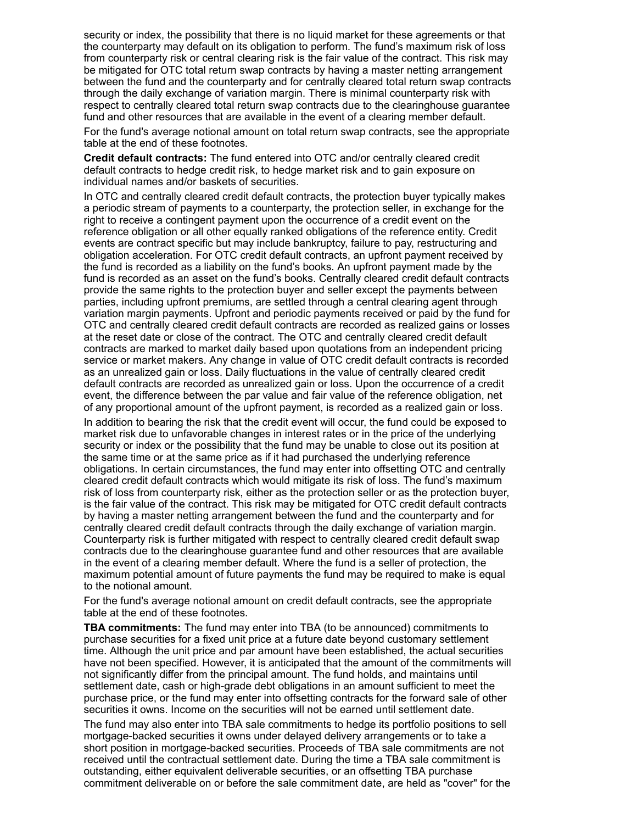security or index, the possibility that there is no liquid market for these agreements or that the counterparty may default on its obligation to perform. The fund's maximum risk of loss from counterparty risk or central clearing risk is the fair value of the contract. This risk may be mitigated for OTC total return swap contracts by having a master netting arrangement between the fund and the counterparty and for centrally cleared total return swap contracts through the daily exchange of variation margin. There is minimal counterparty risk with respect to centrally cleared total return swap contracts due to the clearinghouse guarantee fund and other resources that are available in the event of a clearing member default.

For the fund's average notional amount on total return swap contracts, see the appropriate table at the end of these footnotes.

**Credit default contracts:** The fund entered into OTC and/or centrally cleared credit default contracts to hedge credit risk, to hedge market risk and to gain exposure on individual names and/or baskets of securities.

In OTC and centrally cleared credit default contracts, the protection buyer typically makes a periodic stream of payments to a counterparty, the protection seller, in exchange for the right to receive a contingent payment upon the occurrence of a credit event on the reference obligation or all other equally ranked obligations of the reference entity. Credit events are contract specific but may include bankruptcy, failure to pay, restructuring and obligation acceleration. For OTC credit default contracts, an upfront payment received by the fund is recorded as a liability on the fund's books. An upfront payment made by the fund is recorded as an asset on the fund's books. Centrally cleared credit default contracts provide the same rights to the protection buyer and seller except the payments between parties, including upfront premiums, are settled through a central clearing agent through variation margin payments. Upfront and periodic payments received or paid by the fund for OTC and centrally cleared credit default contracts are recorded as realized gains or losses at the reset date or close of the contract. The OTC and centrally cleared credit default contracts are marked to market daily based upon quotations from an independent pricing service or market makers. Any change in value of OTC credit default contracts is recorded as an unrealized gain or loss. Daily fluctuations in the value of centrally cleared credit default contracts are recorded as unrealized gain or loss. Upon the occurrence of a credit event, the difference between the par value and fair value of the reference obligation, net of any proportional amount of the upfront payment, is recorded as a realized gain or loss.

In addition to bearing the risk that the credit event will occur, the fund could be exposed to market risk due to unfavorable changes in interest rates or in the price of the underlying security or index or the possibility that the fund may be unable to close out its position at the same time or at the same price as if it had purchased the underlying reference obligations. In certain circumstances, the fund may enter into offsetting OTC and centrally cleared credit default contracts which would mitigate its risk of loss. The fund's maximum risk of loss from counterparty risk, either as the protection seller or as the protection buyer, is the fair value of the contract. This risk may be mitigated for OTC credit default contracts by having a master netting arrangement between the fund and the counterparty and for centrally cleared credit default contracts through the daily exchange of variation margin. Counterparty risk is further mitigated with respect to centrally cleared credit default swap contracts due to the clearinghouse guarantee fund and other resources that are available in the event of a clearing member default. Where the fund is a seller of protection, the maximum potential amount of future payments the fund may be required to make is equal to the notional amount.

For the fund's average notional amount on credit default contracts, see the appropriate table at the end of these footnotes.

**TBA commitments:** The fund may enter into TBA (to be announced) commitments to purchase securities for a fixed unit price at a future date beyond customary settlement time. Although the unit price and par amount have been established, the actual securities have not been specified. However, it is anticipated that the amount of the commitments will not significantly differ from the principal amount. The fund holds, and maintains until settlement date, cash or high-grade debt obligations in an amount sufficient to meet the purchase price, or the fund may enter into offsetting contracts for the forward sale of other securities it owns. Income on the securities will not be earned until settlement date.

The fund may also enter into TBA sale commitments to hedge its portfolio positions to sell mortgage-backed securities it owns under delayed delivery arrangements or to take a short position in mortgage-backed securities. Proceeds of TBA sale commitments are not received until the contractual settlement date. During the time a TBA sale commitment is outstanding, either equivalent deliverable securities, or an offsetting TBA purchase commitment deliverable on or before the sale commitment date, are held as "cover" for the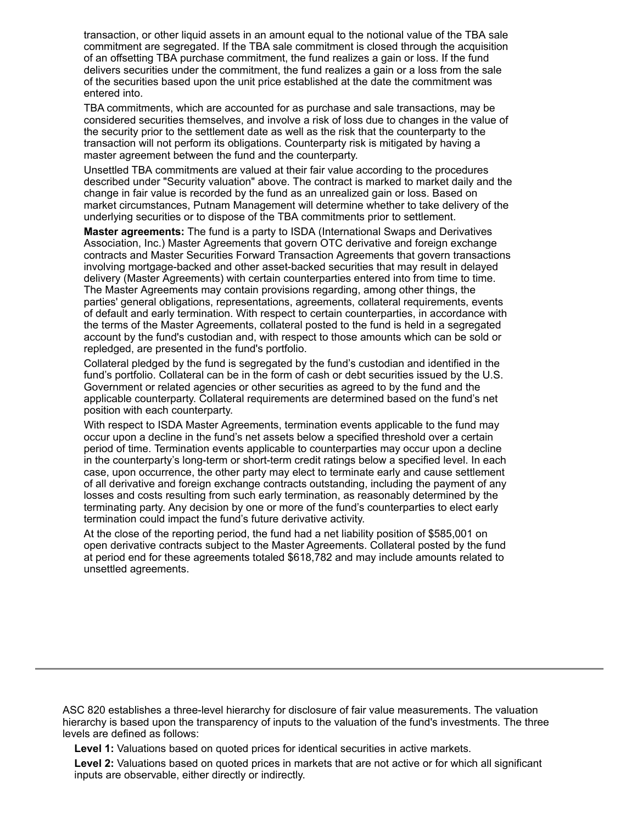transaction, or other liquid assets in an amount equal to the notional value of the TBA sale commitment are segregated. If the TBA sale commitment is closed through the acquisition of an offsetting TBA purchase commitment, the fund realizes a gain or loss. If the fund delivers securities under the commitment, the fund realizes a gain or a loss from the sale of the securities based upon the unit price established at the date the commitment was entered into.

TBA commitments, which are accounted for as purchase and sale transactions, may be considered securities themselves, and involve a risk of loss due to changes in the value of the security prior to the settlement date as well as the risk that the counterparty to the transaction will not perform its obligations. Counterparty risk is mitigated by having a master agreement between the fund and the counterparty.

Unsettled TBA commitments are valued at their fair value according to the procedures described under "Security valuation" above. The contract is marked to market daily and the change in fair value is recorded by the fund as an unrealized gain or loss. Based on market circumstances, Putnam Management will determine whether to take delivery of the underlying securities or to dispose of the TBA commitments prior to settlement.

**Master agreements:** The fund is a party to ISDA (International Swaps and Derivatives Association, Inc.) Master Agreements that govern OTC derivative and foreign exchange contracts and Master Securities Forward Transaction Agreements that govern transactions involving mortgage-backed and other asset-backed securities that may result in delayed delivery (Master Agreements) with certain counterparties entered into from time to time. The Master Agreements may contain provisions regarding, among other things, the parties' general obligations, representations, agreements, collateral requirements, events of default and early termination. With respect to certain counterparties, in accordance with the terms of the Master Agreements, collateral posted to the fund is held in a segregated account by the fund's custodian and, with respect to those amounts which can be sold or repledged, are presented in the fund's portfolio.

Collateral pledged by the fund is segregated by the fund's custodian and identified in the fund's portfolio. Collateral can be in the form of cash or debt securities issued by the U.S. Government or related agencies or other securities as agreed to by the fund and the applicable counterparty. Collateral requirements are determined based on the fund's net position with each counterparty.

With respect to ISDA Master Agreements, termination events applicable to the fund may occur upon a decline in the fund's net assets below a specified threshold over a certain period of time. Termination events applicable to counterparties may occur upon a decline in the counterparty's long-term or short-term credit ratings below a specified level. In each case, upon occurrence, the other party may elect to terminate early and cause settlement of all derivative and foreign exchange contracts outstanding, including the payment of any losses and costs resulting from such early termination, as reasonably determined by the terminating party. Any decision by one or more of the fund's counterparties to elect early termination could impact the fund's future derivative activity.

At the close of the reporting period, the fund had a net liability position of \$585,001 on open derivative contracts subject to the Master Agreements. Collateral posted by the fund at period end for these agreements totaled \$618,782 and may include amounts related to unsettled agreements.

ASC 820 establishes a three-level hierarchy for disclosure of fair value measurements. The valuation hierarchy is based upon the transparency of inputs to the valuation of the fund's investments. The three levels are defined as follows:

**Level 1:** Valuations based on quoted prices for identical securities in active markets.

**Level 2:** Valuations based on quoted prices in markets that are not active or for which all significant inputs are observable, either directly or indirectly.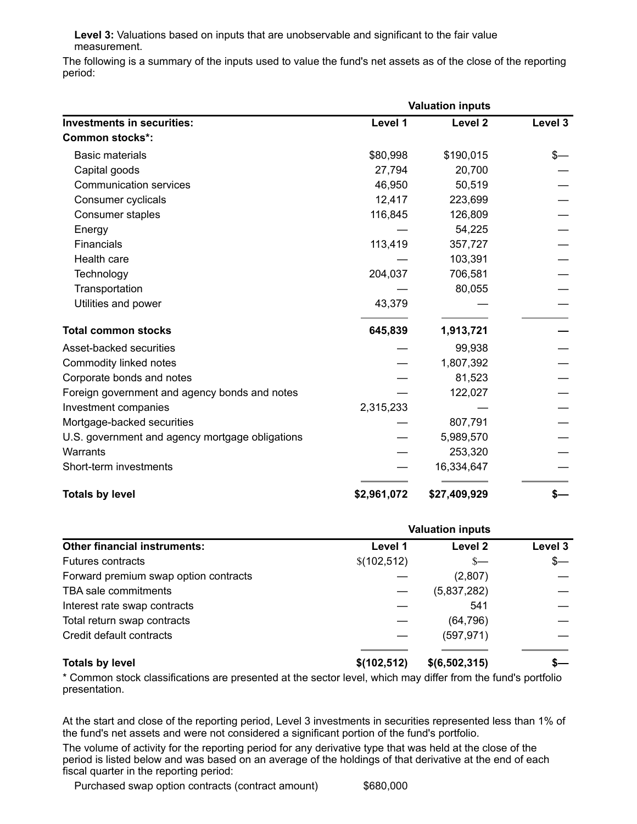**Level 3:** Valuations based on inputs that are unobservable and significant to the fair value measurement.

The following is a summary of the inputs used to value the fund's net assets as of the close of the reporting period:

|                                                 | <b>Valuation inputs</b> |                    |         |
|-------------------------------------------------|-------------------------|--------------------|---------|
| <b>Investments in securities:</b>               | Level 1                 | Level <sub>2</sub> | Level 3 |
| <b>Common stocks*:</b>                          |                         |                    |         |
| <b>Basic materials</b>                          | \$80,998                | \$190,015          | \$—     |
| Capital goods                                   | 27,794                  | 20,700             |         |
| <b>Communication services</b>                   | 46,950                  | 50,519             |         |
| Consumer cyclicals                              | 12,417                  | 223,699            |         |
| Consumer staples                                | 116,845                 | 126,809            |         |
| Energy                                          |                         | 54,225             |         |
| Financials                                      | 113,419                 | 357,727            |         |
| Health care                                     |                         | 103,391            |         |
| Technology                                      | 204,037                 | 706,581            |         |
| Transportation                                  |                         | 80,055             |         |
| Utilities and power                             | 43,379                  |                    |         |
| <b>Total common stocks</b>                      | 645,839                 | 1,913,721          |         |
| Asset-backed securities                         |                         | 99,938             |         |
| Commodity linked notes                          |                         | 1,807,392          |         |
| Corporate bonds and notes                       |                         | 81,523             |         |
| Foreign government and agency bonds and notes   |                         | 122,027            |         |
| Investment companies                            | 2,315,233               |                    |         |
| Mortgage-backed securities                      |                         | 807,791            |         |
| U.S. government and agency mortgage obligations |                         | 5,989,570          |         |
| Warrants                                        |                         | 253,320            |         |
| Short-term investments                          |                         | 16,334,647         |         |
| <b>Totals by level</b>                          | \$2,961,072             | \$27,409,929       | \$—     |

|                                       | <b>Valuation inputs</b> |               |         |
|---------------------------------------|-------------------------|---------------|---------|
| <b>Other financial instruments:</b>   | Level 1                 | Level 2       | Level 3 |
| <b>Futures contracts</b>              | \$(102,512)             | $s-$          | $s-$    |
| Forward premium swap option contracts |                         | (2,807)       |         |
| TBA sale commitments                  |                         | (5,837,282)   |         |
| Interest rate swap contracts          |                         | 541           |         |
| Total return swap contracts           |                         | (64, 796)     |         |
| Credit default contracts              |                         | (597, 971)    |         |
| <b>Totals by level</b>                | \$(102, 512)            | \$(6,502,315) |         |

\* Common stock classifications are presented at the sector level, which may differ from the fund's portfolio presentation.

At the start and close of the reporting period, Level 3 investments in securities represented less than 1% of the fund's net assets and were not considered a significant portion of the fund's portfolio.

The volume of activity for the reporting period for any derivative type that was held at the close of the period is listed below and was based on an average of the holdings of that derivative at the end of each fiscal quarter in the reporting period:

Purchased swap option contracts (contract amount) \$680,000